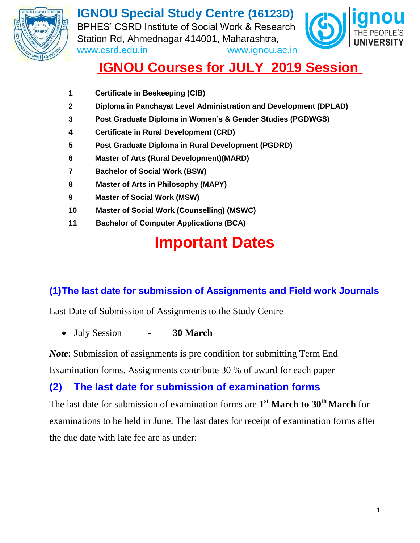

**IGNOU Special Study Centre (16123D)** BPHES' CSRD Institute of Social Work & Research Station Rd, Ahmednagar 414001, Maharashtra, www.csrd.edu.in www.ignou.ac.in



## **IGNOU Courses for JULY 2019 Session**

- **1 Certificate in Beekeeping (CIB)**
- **2 Diploma in Panchayat Level Administration and Development (DPLAD)**
- **3 Post Graduate Diploma in Women's & Gender Studies (PGDWGS)**
- **4 Certificate in Rural Development (CRD)**
- **5 Post Graduate Diploma in Rural Development (PGDRD)**
- **6 Master of Arts (Rural Development)(MARD)**
- **7 Bachelor of Social Work (BSW)**
- **8 Master of Arts in Philosophy (MAPY)**
- **9 Master of Social Work (MSW)**
- **10 Master of Social Work (Counselling) (MSWC)**
- **11 Bachelor of Computer Applications (BCA)**

# **Important Dates**

### **(1)The last date for submission of Assignments and Field work Journals**

Last Date of Submission of Assignments to the Study Centre

July Session - **30 March** 

*Note*: Submission of assignments is pre condition for submitting Term End Examination forms. Assignments contribute 30 % of award for each paper

## **(2) The last date for submission of examination forms**

The last date for submission of examination forms are **1 st March to 30 th March** for examinations to be held in June. The last dates for receipt of examination forms after

the due date with late fee are as under: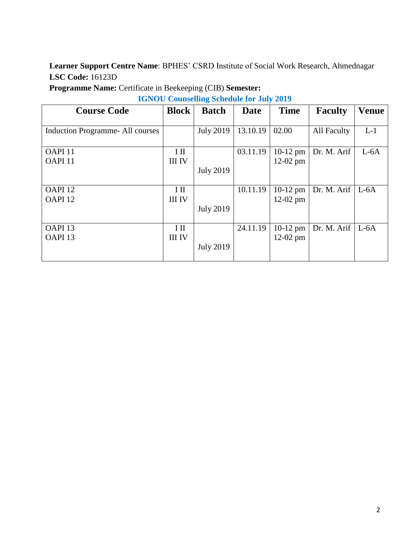| <b>Programme Name:</b> Certificate in Beekeeping (CIB) Semester: |  |  |  |  |
|------------------------------------------------------------------|--|--|--|--|
|------------------------------------------------------------------|--|--|--|--|

**IGNOU Counselling Schedule for July 2019**

| <b>Course Code</b>              | <b>Block</b>  | <b>Batch</b>     | <b>Date</b> | <b>Time</b> | <b>Faculty</b>        | <b>Venue</b> |
|---------------------------------|---------------|------------------|-------------|-------------|-----------------------|--------------|
|                                 |               |                  |             |             |                       |              |
| Induction Programme-All courses |               | <b>July 2019</b> | 13.10.19    | 02.00       | All Faculty           | $L-1$        |
|                                 |               |                  |             |             |                       |              |
| OAPI <sub>11</sub>              | I II          |                  | 03.11.19    | $10-12$ pm  | Dr. M. Arif           | $L-6A$       |
| OAPI <sub>11</sub>              | <b>III IV</b> |                  |             | $12-02$ pm  |                       |              |
|                                 |               | <b>July 2019</b> |             |             |                       |              |
|                                 |               |                  |             |             |                       |              |
| OAPI <sub>12</sub>              | I II          |                  | 10.11.19    | $10-12$ pm  | Dr. M. Arif   $L$ -6A |              |
| OAPI <sub>12</sub>              | <b>III IV</b> |                  |             | $12-02$ pm  |                       |              |
|                                 |               | <b>July 2019</b> |             |             |                       |              |
|                                 |               |                  |             |             |                       |              |
| OAPI <sub>13</sub>              | $\rm{I\,II}$  |                  | 24.11.19    | $10-12$ pm  | Dr. M. Arif           | $L-6A$       |
| OAPI <sub>13</sub>              | <b>III IV</b> |                  |             | $12-02$ pm  |                       |              |
|                                 |               | <b>July 2019</b> |             |             |                       |              |
|                                 |               |                  |             |             |                       |              |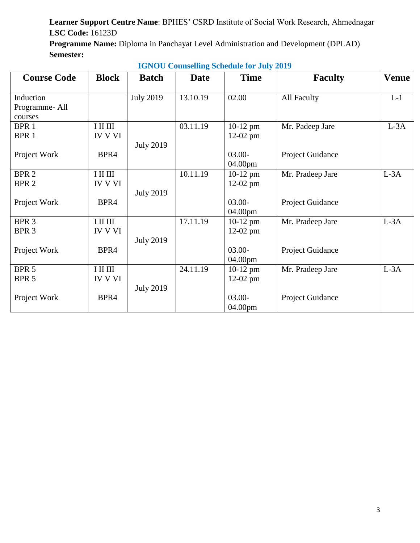**Programme Name:** Diploma in Panchayat Level Administration and Development (DPLAD) **Semester:**

| <b>Course Code</b> | <b>Block</b>   | <b>Batch</b>     | <b>Date</b> | <b>Time</b> | <b>Faculty</b>          | <b>Venue</b> |
|--------------------|----------------|------------------|-------------|-------------|-------------------------|--------------|
|                    |                |                  |             |             |                         |              |
| Induction          |                | <b>July 2019</b> | 13.10.19    | 02.00       | All Faculty             | $L-1$        |
| Programme-All      |                |                  |             |             |                         |              |
| courses            |                |                  |             |             |                         |              |
| BPR 1              | $I$ II III     |                  | 03.11.19    | $10-12$ pm  | Mr. Padeep Jare         | $L-3A$       |
| BPR 1              | <b>IV V VI</b> |                  |             | $12-02$ pm  |                         |              |
|                    |                | <b>July 2019</b> |             |             |                         |              |
| Project Work       | BPR4           |                  |             | $03.00 -$   | Project Guidance        |              |
|                    |                |                  |             | 04.00pm     |                         |              |
| BPR <sub>2</sub>   | $I$ III III    |                  | 10.11.19    | $10-12$ pm  | Mr. Pradeep Jare        | $L-3A$       |
| BPR <sub>2</sub>   | <b>IV V VI</b> |                  |             | $12-02$ pm  |                         |              |
|                    |                | <b>July 2019</b> |             |             |                         |              |
| Project Work       | BPR4           |                  |             | $03.00 -$   | Project Guidance        |              |
|                    |                |                  |             | 04.00pm     |                         |              |
| BPR <sub>3</sub>   | $I$ III III    |                  | 17.11.19    | $10-12$ pm  | Mr. Pradeep Jare        | $L-3A$       |
| BPR 3              | <b>IV V VI</b> |                  |             | $12-02$ pm  |                         |              |
|                    |                |                  |             |             |                         |              |
|                    |                | <b>July 2019</b> |             |             |                         |              |
| Project Work       | BPR4           |                  |             | $03.00 -$   | Project Guidance        |              |
|                    |                |                  |             | 04.00pm     |                         |              |
| BPR 5              | $I$ III III    |                  | 24.11.19    | $10-12$ pm  | Mr. Pradeep Jare        | $L-3A$       |
| BPR 5              | <b>IV V VI</b> |                  |             | $12-02$ pm  |                         |              |
|                    |                | <b>July 2019</b> |             |             |                         |              |
| Project Work       | BPR4           |                  |             | $03.00 -$   | <b>Project Guidance</b> |              |
|                    |                |                  |             | 04.00pm     |                         |              |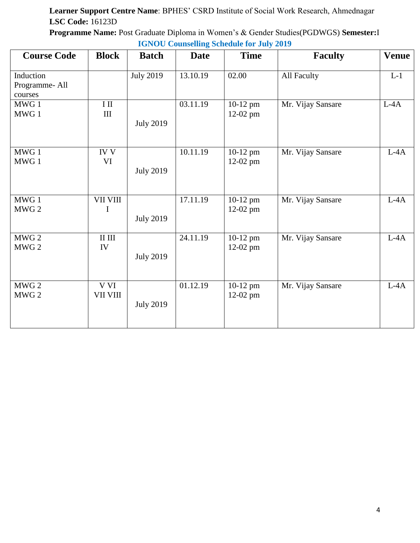**Programme Name:** Post Graduate Diploma in Women's & Gender Studies(PGDWGS) **Semester:**I **IGNOU Counselling Schedule for July 2019**

| <b>Course Code</b>                    | <b>Block</b>                         | <b>Batch</b>     | Date     | <b>Time</b>              | <b>Faculty</b>    | <b>Venue</b> |
|---------------------------------------|--------------------------------------|------------------|----------|--------------------------|-------------------|--------------|
| Induction<br>Programme-All<br>courses |                                      | <b>July 2019</b> | 13.10.19 | 02.00                    | All Faculty       | $L-1$        |
| MWG 1<br>MWG 1                        | $\rm I\ II$<br>$\rm III$             | <b>July 2019</b> | 03.11.19 | $10-12$ pm<br>$12-02$ pm | Mr. Vijay Sansare | $L-4A$       |
| MWG 1<br>MWG 1                        | $\overline{IV}$ $\overline{V}$<br>VI | <b>July 2019</b> | 10.11.19 | 10-12 pm<br>12-02 pm     | Mr. Vijay Sansare | $L-4A$       |
| MWG 1<br>MWG <sub>2</sub>             | VII VIII<br>I                        | <b>July 2019</b> | 17.11.19 | 10-12 pm<br>12-02 pm     | Mr. Vijay Sansare | $L-4A$       |
| MWG 2<br>MWG <sub>2</sub>             | $\rm II$ $\rm III$<br>IV             | <b>July 2019</b> | 24.11.19 | 10-12 pm<br>12-02 pm     | Mr. Vijay Sansare | $L-4A$       |
| MWG 2<br>MWG 2                        | V VI<br>VII VIII                     | <b>July 2019</b> | 01.12.19 | 10-12 pm<br>12-02 pm     | Mr. Vijay Sansare | $L-4A$       |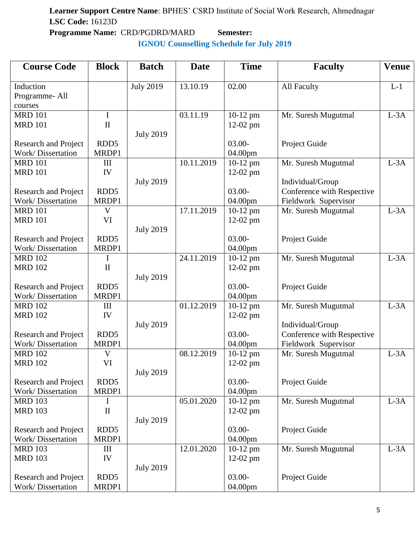**Programme Name:** CRD/PGDRD/MARD **Semester: IGNOU Counselling Schedule for July 2019**

| <b>Course Code</b>                        | <b>Block</b>     | <b>Batch</b>     | <b>Date</b> | <b>Time</b> | <b>Faculty</b>             | <b>Venue</b> |
|-------------------------------------------|------------------|------------------|-------------|-------------|----------------------------|--------------|
|                                           |                  |                  |             |             |                            |              |
| Induction                                 |                  | <b>July 2019</b> | 13.10.19    | 02.00       | All Faculty                | $L-1$        |
| Programme-All                             |                  |                  |             |             |                            |              |
| courses                                   |                  |                  |             |             |                            |              |
| <b>MRD 101</b>                            | I                |                  | 03.11.19    | 10-12 pm    | Mr. Suresh Mugutmal        | $L-3A$       |
| <b>MRD 101</b>                            | $\mathbf{I}$     |                  |             | 12-02 pm    |                            |              |
|                                           |                  | <b>July 2019</b> |             |             |                            |              |
| Research and Project                      | RDD <sub>5</sub> |                  |             | $03.00 -$   | Project Guide              |              |
| Work/Dissertation                         | MRDP1            |                  |             | 04.00pm     |                            |              |
| <b>MRD 101</b>                            | III              |                  | 10.11.2019  | $10-12$ pm  | Mr. Suresh Mugutmal        | $L-3A$       |
| <b>MRD 101</b>                            | IV               |                  |             | $12-02$ pm  |                            |              |
|                                           |                  | <b>July 2019</b> |             |             | Individual/Group           |              |
| Research and Project                      | RDD <sub>5</sub> |                  |             | $03.00 -$   | Conference with Respective |              |
| <b>Work/Dissertation</b>                  | MRDP1            |                  |             | 04.00pm     | Fieldwork Supervisor       |              |
| <b>MRD 101</b>                            | V                |                  | 17.11.2019  | 10-12 pm    | Mr. Suresh Mugutmal        | $L-3A$       |
| <b>MRD 101</b>                            | VI               |                  |             | $12-02$ pm  |                            |              |
|                                           |                  | <b>July 2019</b> |             |             |                            |              |
| Research and Project                      | RDD <sub>5</sub> |                  |             | $03.00 -$   | Project Guide              |              |
| Work/Dissertation                         | MRDP1            |                  |             | 04.00pm     |                            |              |
| <b>MRD 102</b>                            | I                |                  | 24.11.2019  | 10-12 pm    | Mr. Suresh Mugutmal        | $L-3A$       |
| <b>MRD 102</b>                            | $\mathbf{I}$     |                  |             | $12-02$ pm  |                            |              |
|                                           |                  | <b>July 2019</b> |             |             |                            |              |
| Research and Project                      | RDD <sub>5</sub> |                  |             | $03.00 -$   | Project Guide              |              |
| Work/Dissertation                         | MRDP1            |                  |             | 04.00pm     |                            |              |
| <b>MRD 102</b>                            | III              |                  | 01.12.2019  | $10-12$ pm  | Mr. Suresh Mugutmal        | $L-3A$       |
| <b>MRD 102</b>                            | IV               |                  |             | $12-02$ pm  |                            |              |
|                                           |                  | <b>July 2019</b> |             |             | Individual/Group           |              |
| <b>Research and Project</b>               | RDD <sub>5</sub> |                  |             | $03.00 -$   | Conference with Respective |              |
| Work/Dissertation                         | MRDP1            |                  |             | 04.00pm     | Fieldwork Supervisor       |              |
| <b>MRD 102</b>                            | V                |                  | 08.12.2019  | 10-12 pm    | Mr. Suresh Mugutmal        | $L-3A$       |
| <b>MRD 102</b>                            | VI               |                  |             | 12-02 pm    |                            |              |
|                                           | RDD <sub>5</sub> | <b>July 2019</b> |             |             |                            |              |
| Research and Project                      |                  |                  |             | $03.00 -$   | Project Guide              |              |
| Work/Dissertation                         | MRDP1            |                  |             | 04.00pm     |                            |              |
| <b>MRD 103</b>                            | I                |                  | 05.01.2020  | $10-12$ pm  | Mr. Suresh Mugutmal        | $L-3A$       |
| <b>MRD 103</b>                            | $\mathbf{I}$     |                  |             | $12-02$ pm  |                            |              |
|                                           | RDD <sub>5</sub> | <b>July 2019</b> |             | $03.00 -$   |                            |              |
| Research and Project<br>Work/Dissertation | MRDP1            |                  |             | 04.00pm     | Project Guide              |              |
| <b>MRD 103</b>                            |                  |                  | 12.01.2020  |             |                            | $L-3A$       |
|                                           | Ш                |                  |             | $10-12$ pm  | Mr. Suresh Mugutmal        |              |
| <b>MRD 103</b>                            | IV               | <b>July 2019</b> |             | 12-02 pm    |                            |              |
|                                           | RDD <sub>5</sub> |                  |             | $03.00 -$   | Project Guide              |              |
| Research and Project                      |                  |                  |             |             |                            |              |
| Work/Dissertation                         | MRDP1            |                  |             | 04.00pm     |                            |              |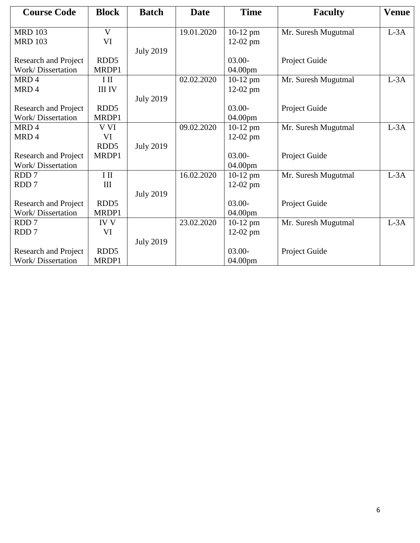| <b>Course Code</b>          | <b>Block</b>     | <b>Batch</b>     | <b>Date</b> | <b>Time</b> | <b>Faculty</b>      | <b>Venue</b> |
|-----------------------------|------------------|------------------|-------------|-------------|---------------------|--------------|
| <b>MRD 103</b>              | V                |                  | 19.01.2020  | $10-12$ pm  | Mr. Suresh Mugutmal | $L-3A$       |
| <b>MRD 103</b>              | VI               |                  |             | 12-02 pm    |                     |              |
|                             |                  | <b>July 2019</b> |             |             |                     |              |
| Research and Project        | RDD <sub>5</sub> |                  |             | $03.00 -$   | Project Guide       |              |
| <b>Work/Dissertation</b>    | MRDP1            |                  |             | 04.00pm     |                     |              |
| MRD4                        | $I$ II           |                  | 02.02.2020  | $10-12$ pm  | Mr. Suresh Mugutmal | $L-3A$       |
| MRD4                        | <b>III IV</b>    |                  |             | 12-02 pm    |                     |              |
|                             |                  | <b>July 2019</b> |             |             |                     |              |
| <b>Research and Project</b> | RDD <sub>5</sub> |                  |             | $03.00 -$   | Project Guide       |              |
| Work/Dissertation           | MRDP1            |                  |             | 04.00pm     |                     |              |
| MRD4                        | V VI             |                  | 09.02.2020  | $10-12$ pm  | Mr. Suresh Mugutmal | $L-3A$       |
| MRD <sub>4</sub>            | VI               |                  |             | $12-02$ pm  |                     |              |
|                             | RDD <sub>5</sub> | <b>July 2019</b> |             |             |                     |              |
| <b>Research and Project</b> | MRDP1            |                  |             | $03.00 -$   | Project Guide       |              |
| <b>Work/Dissertation</b>    |                  |                  |             | 04.00pm     |                     |              |
| RDD <sub>7</sub>            | $I$ II           |                  | 16.02.2020  | $10-12$ pm  | Mr. Suresh Mugutmal | $L-3A$       |
| RDD <sub>7</sub>            | III              |                  |             | 12-02 pm    |                     |              |
|                             |                  | <b>July 2019</b> |             |             |                     |              |
| <b>Research and Project</b> | RDD <sub>5</sub> |                  |             | $03.00 -$   | Project Guide       |              |
| Work/Dissertation           | MRDP1            |                  |             | 04.00pm     |                     |              |
| RDD <sub>7</sub>            | <b>IV V</b>      |                  | 23.02.2020  | $10-12$ pm  | Mr. Suresh Mugutmal | $L-3A$       |
| RDD <sub>7</sub>            | VI               |                  |             | $12-02$ pm  |                     |              |
|                             |                  | <b>July 2019</b> |             |             |                     |              |
| Research and Project        | RDD <sub>5</sub> |                  |             | $03.00 -$   | Project Guide       |              |
| Work/Dissertation           | MRDP1            |                  |             | 04.00pm     |                     |              |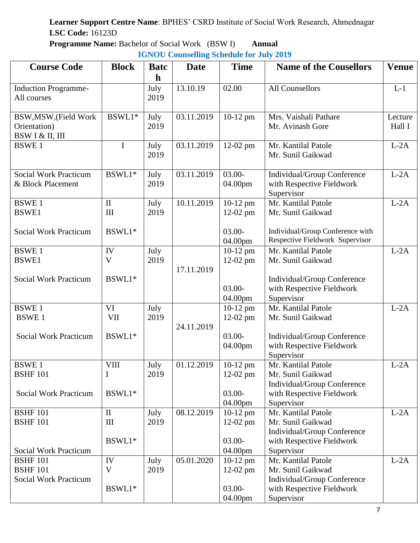**Programme Name:** Bachelor of Social Work (BSW I) **Annual**

| <b>Course Code</b>                         | <b>Block</b> | <b>Batc</b>  | <b>Date</b> | <b>Time</b> | <b>Name of the Cousellors</b>                            | <b>Venue</b> |
|--------------------------------------------|--------------|--------------|-------------|-------------|----------------------------------------------------------|--------------|
|                                            |              | $\mathbf h$  |             |             |                                                          |              |
| <b>Induction Programme-</b><br>All courses |              | July<br>2019 | 13.10.19    | 02.00       | <b>All Counsellors</b>                                   | $L-1$        |
|                                            |              |              |             |             |                                                          |              |
| BSW, MSW, (Field Work                      | BSWL1*       | July         | 03.11.2019  | $10-12$ pm  | Mrs. Vaishali Pathare                                    | Lecture      |
| Orientation)                               |              | 2019         |             |             | Mr. Avinash Gore                                         | Hall I       |
| BSW I & II, III                            |              |              |             |             |                                                          |              |
| <b>BSWE1</b>                               | $\mathbf I$  | July         | 03.11.2019  | $12-02$ pm  | Mr. Kantilal Patole                                      | $L-2A$       |
|                                            |              | 2019         |             |             | Mr. Sunil Gaikwad                                        |              |
| <b>Social Work Practicum</b>               | BSWL1*       |              |             | $03.00 -$   |                                                          | $L-2A$       |
| & Block Placement                          |              | July<br>2019 | 03.11.2019  | 04.00pm     | Individual/Group Conference<br>with Respective Fieldwork |              |
|                                            |              |              |             |             | Supervisor                                               |              |
| <b>BSWE1</b>                               | $\rm II$     | July         | 10.11.2019  | $10-12$ pm  | Mr. Kantilal Patole                                      | $L-2A$       |
| <b>BSWE1</b>                               | III          | 2019         |             | $12-02$ pm  | Mr. Sunil Gaikwad                                        |              |
|                                            |              |              |             |             |                                                          |              |
| <b>Social Work Practicum</b>               | BSWL1*       |              |             | $03.00 -$   | Individual/Group Conference with                         |              |
|                                            |              |              |             | 04.00pm     | Respective Fieldwork Supervisor                          |              |
| <b>BSWE1</b>                               | IV           | July         |             | $10-12$ pm  | Mr. Kantilal Patole                                      | $L-2A$       |
| <b>BSWE1</b>                               | V            | 2019         |             | $12-02$ pm  | Mr. Sunil Gaikwad                                        |              |
|                                            | BSWL1*       |              | 17.11.2019  |             |                                                          |              |
| <b>Social Work Practicum</b>               |              |              |             | $03.00 -$   | Individual/Group Conference                              |              |
|                                            |              |              |             | 04.00pm     | with Respective Fieldwork<br>Supervisor                  |              |
| <b>BSWE1</b>                               | VI           | July         |             | 10-12 pm    | Mr. Kantilal Patole                                      | $L-2A$       |
| <b>BSWE1</b>                               | VII          | 2019         |             | $12-02$ pm  | Mr. Sunil Gaikwad                                        |              |
|                                            |              |              | 24.11.2019  |             |                                                          |              |
| <b>Social Work Practicum</b>               | BSWL1*       |              |             | $03.00 -$   | Individual/Group Conference                              |              |
|                                            |              |              |             | 04.00pm     | with Respective Fieldwork                                |              |
|                                            |              |              |             |             | Supervisor                                               |              |
| <b>BSWE1</b>                               | <b>VIII</b>  | July         | 01.12.2019  | $10-12$ pm  | Mr. Kantilal Patole                                      | $L-2A$       |
| <b>BSHF 101</b>                            | $\bf{I}$     | 2019         |             | $12-02$ pm  | Mr. Sunil Gaikwad                                        |              |
|                                            |              |              |             |             | Individual/Group Conference                              |              |
| <b>Social Work Practicum</b>               | BSWL1*       |              |             | $03.00 -$   | with Respective Fieldwork                                |              |
|                                            |              |              |             | 04.00pm     | Supervisor                                               |              |
| <b>BSHF 101</b>                            | $\mathbf{I}$ | July         | 08.12.2019  | $10-12$ pm  | Mr. Kantilal Patole                                      | $L-2A$       |
| <b>BSHF 101</b>                            | III          | 2019         |             | $12-02$ pm  | Mr. Sunil Gaikwad                                        |              |
|                                            | BSWL1*       |              |             | $03.00 -$   | Individual/Group Conference<br>with Respective Fieldwork |              |
| <b>Social Work Practicum</b>               |              |              |             | 04.00pm     | Supervisor                                               |              |
| <b>BSHF 101</b>                            | IV           | July         | 05.01.2020  | $10-12$ pm  | Mr. Kantilal Patole                                      | $L-2A$       |
| <b>BSHF 101</b>                            | V            | 2019         |             | $12-02$ pm  | Mr. Sunil Gaikwad                                        |              |
| <b>Social Work Practicum</b>               |              |              |             |             | Individual/Group Conference                              |              |
|                                            | BSWL1*       |              |             | $03.00 -$   | with Respective Fieldwork                                |              |
|                                            |              |              |             | 04.00pm     | Supervisor                                               |              |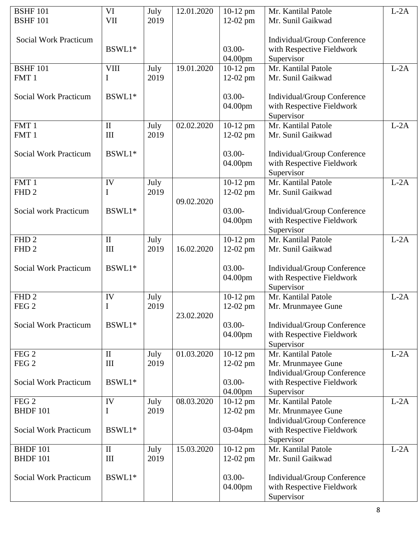| <b>BSHF 101</b><br><b>BSHF 101</b> | VI<br>VII    | July<br>2019 | 12.01.2020 | $10-12$ pm<br>$12-02$ pm | Mr. Kantilal Patole<br>Mr. Sunil Gaikwad                 | $L-2A$ |
|------------------------------------|--------------|--------------|------------|--------------------------|----------------------------------------------------------|--------|
|                                    |              |              |            |                          |                                                          |        |
| <b>Social Work Practicum</b>       | BSWL1*       |              |            | $03.00 -$                | Individual/Group Conference<br>with Respective Fieldwork |        |
|                                    |              |              |            | 04.00pm                  | Supervisor                                               |        |
| <b>BSHF 101</b>                    | <b>VIII</b>  | July         | 19.01.2020 | $10-12$ pm               | Mr. Kantilal Patole                                      | $L-2A$ |
| FMT <sub>1</sub>                   | I            | 2019         |            | $12-02$ pm               | Mr. Sunil Gaikwad                                        |        |
|                                    |              |              |            |                          |                                                          |        |
| <b>Social Work Practicum</b>       | BSWL1*       |              |            | $03.00 -$                | Individual/Group Conference                              |        |
|                                    |              |              |            | 04.00pm                  | with Respective Fieldwork                                |        |
|                                    |              |              |            |                          | Supervisor                                               |        |
| FMT 1                              | $\mathbf{I}$ | July         | 02.02.2020 | 10-12 pm                 | Mr. Kantilal Patole                                      | $L-2A$ |
| FMT 1                              | III          | 2019         |            | $12-02$ pm               | Mr. Sunil Gaikwad                                        |        |
| <b>Social Work Practicum</b>       | BSWL1*       |              |            | $03.00 -$                |                                                          |        |
|                                    |              |              |            | 04.00pm                  | Individual/Group Conference<br>with Respective Fieldwork |        |
|                                    |              |              |            |                          | Supervisor                                               |        |
| FMT1                               | IV           | July         |            | $10-12$ pm               | Mr. Kantilal Patole                                      | $L-2A$ |
| FHD <sub>2</sub>                   | I            | 2019         |            | $12-02$ pm               | Mr. Sunil Gaikwad                                        |        |
|                                    |              |              | 09.02.2020 |                          |                                                          |        |
| Social work Practicum              | BSWL1*       |              |            | $03.00 -$                | Individual/Group Conference                              |        |
|                                    |              |              |            | 04.00pm                  | with Respective Fieldwork                                |        |
|                                    |              |              |            |                          | Supervisor                                               |        |
| FHD <sub>2</sub>                   | $\mathbf{I}$ | July         |            | 10-12 pm                 | Mr. Kantilal Patole                                      | $L-2A$ |
| FHD <sub>2</sub>                   | III          | 2019         | 16.02.2020 | $12-02$ pm               | Mr. Sunil Gaikwad                                        |        |
|                                    |              |              |            |                          |                                                          |        |
| <b>Social Work Practicum</b>       | BSWL1*       |              |            | $03.00 -$<br>04.00pm     | Individual/Group Conference<br>with Respective Fieldwork |        |
|                                    |              |              |            |                          | Supervisor                                               |        |
| FHD <sub>2</sub>                   | IV           | July         |            | 10-12 pm                 | Mr. Kantilal Patole                                      | $L-2A$ |
| FEG <sub>2</sub>                   | $\bf{I}$     | 2019         |            | $12-02$ pm               | Mr. Mrunmayee Gune                                       |        |
|                                    |              |              | 23.02.2020 |                          |                                                          |        |
| <b>Social Work Practicum</b>       | BSWL1*       |              |            | $03.00 -$                | Individual/Group Conference                              |        |
|                                    |              |              |            | 04.00pm                  | with Respective Fieldwork                                |        |
|                                    |              |              |            |                          | Supervisor                                               |        |
| FEG <sub>2</sub>                   | $\mathbf{I}$ | July         | 01.03.2020 | $10-12$ pm               | Mr. Kantilal Patole                                      | $L-2A$ |
| FEG <sub>2</sub>                   | III          | 2019         |            | $12-02$ pm               | Mr. Mrunmayee Gune                                       |        |
| <b>Social Work Practicum</b>       | BSWL1*       |              |            | $03.00 -$                | Individual/Group Conference                              |        |
|                                    |              |              |            | 04.00pm                  | with Respective Fieldwork<br>Supervisor                  |        |
| FEG <sub>2</sub>                   | IV           | July         | 08.03.2020 | $10-12$ pm               | Mr. Kantilal Patole                                      | $L-2A$ |
| <b>BHDF 101</b>                    | I            | 2019         |            | $12-02$ pm               | Mr. Mrunmayee Gune                                       |        |
|                                    |              |              |            |                          | Individual/Group Conference                              |        |
| <b>Social Work Practicum</b>       | BSWL1*       |              |            | 03-04pm                  | with Respective Fieldwork                                |        |
|                                    |              |              |            |                          | Supervisor                                               |        |
| <b>BHDF 101</b>                    | $\mathbf{I}$ | July         | 15.03.2020 | $10-12$ pm               | Mr. Kantilal Patole                                      | $L-2A$ |
| <b>BHDF 101</b>                    | III          | 2019         |            | $12-02$ pm               | Mr. Sunil Gaikwad                                        |        |
|                                    |              |              |            |                          |                                                          |        |
| <b>Social Work Practicum</b>       | BSWL1*       |              |            | $03.00 -$                | Individual/Group Conference                              |        |
|                                    |              |              |            | 04.00pm                  | with Respective Fieldwork                                |        |
|                                    |              |              |            |                          | Supervisor                                               |        |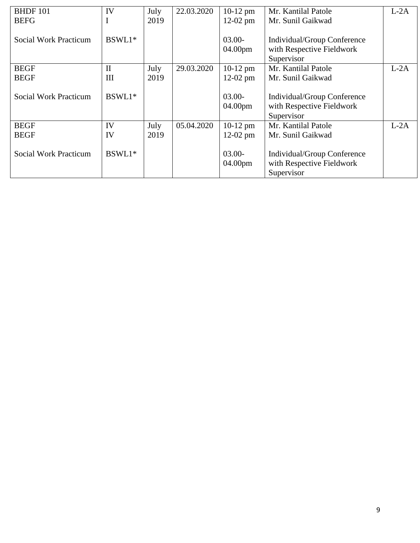| <b>BHDF 101</b>              | IV           | July | 22.03.2020 | $10-12$ pm | Mr. Kantilal Patole         | $L-2A$ |
|------------------------------|--------------|------|------------|------------|-----------------------------|--------|
| <b>BEFG</b>                  | $\mathbf I$  | 2019 |            | $12-02$ pm | Mr. Sunil Gaikwad           |        |
|                              |              |      |            |            |                             |        |
| Social Work Practicum        | BSWL1*       |      |            | $03.00 -$  | Individual/Group Conference |        |
|                              |              |      |            | 04.00pm    | with Respective Fieldwork   |        |
|                              |              |      |            |            | Supervisor                  |        |
| <b>BEGF</b>                  | $\mathbf{I}$ | July | 29.03.2020 | $10-12$ pm | Mr. Kantilal Patole         | $L-2A$ |
| <b>BEGF</b>                  | III          | 2019 |            | $12-02$ pm | Mr. Sunil Gaikwad           |        |
|                              |              |      |            |            |                             |        |
| Social Work Practicum        | BSWL1*       |      |            | $03.00 -$  | Individual/Group Conference |        |
|                              |              |      |            | 04.00pm    | with Respective Fieldwork   |        |
|                              |              |      |            |            | Supervisor                  |        |
| <b>BEGF</b>                  | IV           | July | 05.04.2020 | $10-12$ pm | Mr. Kantilal Patole         | $L-2A$ |
| <b>BEGF</b>                  | IV           | 2019 |            | $12-02$ pm | Mr. Sunil Gaikwad           |        |
|                              |              |      |            |            |                             |        |
| <b>Social Work Practicum</b> | BSWL1*       |      |            | $03.00 -$  | Individual/Group Conference |        |
|                              |              |      |            | 04.00pm    | with Respective Fieldwork   |        |
|                              |              |      |            |            | Supervisor                  |        |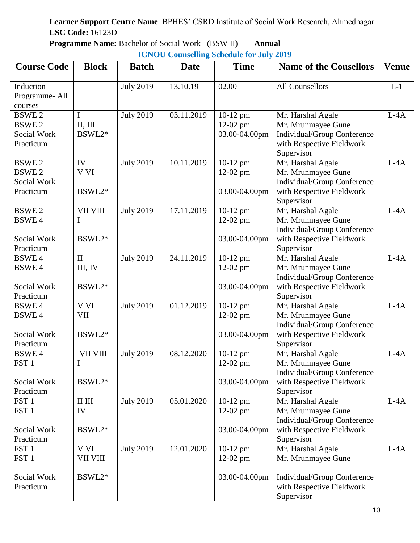**Programme Name:** Bachelor of Social Work (BSW II) **Annual**

| <b>Course Code</b>                                               | <b>Block</b>                       | <b>Batch</b>     | <b>Date</b> | <b>Time</b>                             | <b>Name of the Cousellors</b>                                                                                     | <b>Venue</b> |
|------------------------------------------------------------------|------------------------------------|------------------|-------------|-----------------------------------------|-------------------------------------------------------------------------------------------------------------------|--------------|
| Induction<br>Programme-All<br>courses                            |                                    | <b>July 2019</b> | 13.10.19    | 02.00                                   | <b>All Counsellors</b>                                                                                            | $L-1$        |
| <b>BSWE2</b><br><b>BSWE2</b><br>Social Work<br>Practicum         | I<br>II, III<br>BSWL2*             | <b>July 2019</b> | 03.11.2019  | 10-12 pm<br>$12-02$ pm<br>03.00-04.00pm | Mr. Harshal Agale<br>Mr. Mrunmayee Gune<br>Individual/Group Conference<br>with Respective Fieldwork<br>Supervisor | $L-4A$       |
| <b>BSWE2</b><br><b>BSWE2</b><br>Social Work<br>Practicum         | IV<br>V VI<br>BSWL2*               | <b>July 2019</b> | 10.11.2019  | 10-12 pm<br>12-02 pm<br>03.00-04.00pm   | Mr. Harshal Agale<br>Mr. Mrunmayee Gune<br>Individual/Group Conference<br>with Respective Fieldwork<br>Supervisor | $L-4A$       |
| <b>BSWE2</b><br><b>BSWE4</b><br>Social Work<br>Practicum         | <b>VII VIII</b><br>I<br>BSWL2*     | <b>July 2019</b> | 17.11.2019  | 10-12 pm<br>12-02 pm<br>03.00-04.00pm   | Mr. Harshal Agale<br>Mr. Mrunmayee Gune<br>Individual/Group Conference<br>with Respective Fieldwork<br>Supervisor | $L-4A$       |
| <b>BSWE4</b><br><b>BSWE4</b><br>Social Work<br>Practicum         | $\mathbf{I}$<br>III, IV<br>BSWL2*  | <b>July 2019</b> | 24.11.2019  | 10-12 pm<br>$12-02$ pm<br>03.00-04.00pm | Mr. Harshal Agale<br>Mr. Mrunmayee Gune<br>Individual/Group Conference<br>with Respective Fieldwork<br>Supervisor | $L-4A$       |
| <b>BSWE4</b><br><b>BSWE4</b><br>Social Work<br>Practicum         | V VI<br><b>VII</b><br>BSWL2*       | <b>July 2019</b> | 01.12.2019  | 10-12 pm<br>12-02 pm<br>03.00-04.00pm   | Mr. Harshal Agale<br>Mr. Mrunmayee Gune<br>Individual/Group Conference<br>with Respective Fieldwork<br>Supervisor | $L-4A$       |
| <b>BSWE4</b><br>FST <sub>1</sub><br>Social Work<br>Practicum     | VII VIII<br>I<br>BSWL2*            | <b>July 2019</b> | 08.12.2020  | 10-12 pm<br>$12-02$ pm<br>03.00-04.00pm | Mr. Harshal Agale<br>Mr. Mrunmayee Gune<br>Individual/Group Conference<br>with Respective Fieldwork<br>Supervisor | $L-4A$       |
| FST <sub>1</sub><br>FST <sub>1</sub><br>Social Work<br>Practicum | $\rm II$ $\rm III$<br>IV<br>BSWL2* | <b>July 2019</b> | 05.01.2020  | 10-12 pm<br>12-02 pm<br>03.00-04.00pm   | Mr. Harshal Agale<br>Mr. Mrunmayee Gune<br>Individual/Group Conference<br>with Respective Fieldwork<br>Supervisor | $L-4A$       |
| FST <sub>1</sub><br>FST <sub>1</sub><br>Social Work<br>Practicum | V VI<br>VII VIII<br>BSWL2*         | <b>July 2019</b> | 12.01.2020  | 10-12 pm<br>$12-02$ pm<br>03.00-04.00pm | Mr. Harshal Agale<br>Mr. Mrunmayee Gune<br>Individual/Group Conference<br>with Respective Fieldwork<br>Supervisor | $L-4A$       |
|                                                                  |                                    |                  |             |                                         |                                                                                                                   |              |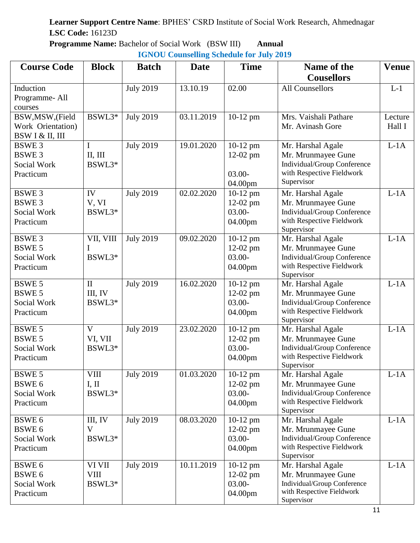**Programme Name:** Bachelor of Social Work (BSW III) **Annual**

|  | <b>IGNOU Counselling Schedule for July 2019</b> |  |  |  |
|--|-------------------------------------------------|--|--|--|
|--|-------------------------------------------------|--|--|--|

| <b>Course Code</b>                                                 | <b>Block</b>                      | <b>Batch</b>     | <b>Date</b> | <b>Time</b>                                      | Name of the<br><b>Cousellors</b>                                                                                  | <b>Venue</b>      |
|--------------------------------------------------------------------|-----------------------------------|------------------|-------------|--------------------------------------------------|-------------------------------------------------------------------------------------------------------------------|-------------------|
| Induction<br>Programme-All<br>courses                              |                                   | <b>July 2019</b> | 13.10.19    | 02.00                                            | <b>All Counsellors</b>                                                                                            | $L-1$             |
| BSW, MSW, (Field<br>Work Orientation)<br>BSW I & II, III           | BSWL3*                            | <b>July 2019</b> | 03.11.2019  | 10-12 pm                                         | Mrs. Vaishali Pathare<br>Mr. Avinash Gore                                                                         | Lecture<br>Hall I |
| <b>BSWE3</b><br><b>BSWE3</b><br>Social Work<br>Practicum           | I<br>II, III<br>BSWL3*            | <b>July 2019</b> | 19.01.2020  | $10-12$ pm<br>12-02 pm<br>$03.00 -$<br>04.00pm   | Mr. Harshal Agale<br>Mr. Mrunmayee Gune<br>Individual/Group Conference<br>with Respective Fieldwork<br>Supervisor | $L-1A$            |
| <b>BSWE3</b><br><b>BSWE3</b><br>Social Work<br>Practicum           | IV<br>V, VI<br>BSWL3*             | <b>July 2019</b> | 02.02.2020  | $10-12$ pm<br>$12-02$ pm<br>$03.00 -$<br>04.00pm | Mr. Harshal Agale<br>Mr. Mrunmayee Gune<br>Individual/Group Conference<br>with Respective Fieldwork<br>Supervisor | $L-1A$            |
| <b>BSWE3</b><br><b>BSWE 5</b><br>Social Work<br>Practicum          | VII, VIII<br>BSWL3*               | <b>July 2019</b> | 09.02.2020  | 10-12 pm<br>12-02 pm<br>$03.00 -$<br>04.00pm     | Mr. Harshal Agale<br>Mr. Mrunmayee Gune<br>Individual/Group Conference<br>with Respective Fieldwork<br>Supervisor | $L-1A$            |
| <b>BSWE 5</b><br><b>BSWE 5</b><br>Social Work<br>Practicum         | $\mathbf{I}$<br>III, IV<br>BSWL3* | <b>July 2019</b> | 16.02.2020  | 10-12 pm<br>12-02 pm<br>$03.00 -$<br>04.00pm     | Mr. Harshal Agale<br>Mr. Mrunmayee Gune<br>Individual/Group Conference<br>with Respective Fieldwork<br>Supervisor | $L-1A$            |
| <b>BSWE 5</b><br><b>BSWE 5</b><br>Social Work<br>Practicum         | $\mathbf{V}$<br>VI, VII<br>BSWL3* | <b>July 2019</b> | 23.02.2020  | 10-12 pm<br>12-02 pm<br>$03.00 -$<br>04.00pm     | Mr. Harshal Agale<br>Mr. Mrunmayee Gune<br>Individual/Group Conference<br>with Respective Fieldwork<br>Supervisor | $L-1A$            |
| <b>BSWE 5</b><br>BSWE <sub>6</sub><br>Social Work<br>Practicum     | <b>VIII</b><br>I, II<br>BSWL3*    | <b>July 2019</b> | 01.03.2020  | $10-12$ pm<br>$12-02$ pm<br>$03.00 -$<br>04.00pm | Mr. Harshal Agale<br>Mr. Mrunmayee Gune<br>Individual/Group Conference<br>with Respective Fieldwork<br>Supervisor | $L-1A$            |
| BSWE <sub>6</sub><br>BSWE <sub>6</sub><br>Social Work<br>Practicum | III, IV<br>V<br>BSWL3*            | <b>July 2019</b> | 08.03.2020  | $10-12$ pm<br>$12-02$ pm<br>$03.00 -$<br>04.00pm | Mr. Harshal Agale<br>Mr. Mrunmayee Gune<br>Individual/Group Conference<br>with Respective Fieldwork<br>Supervisor | $L-1A$            |
| BSWE <sub>6</sub><br>BSWE <sub>6</sub><br>Social Work<br>Practicum | VI VII<br><b>VIII</b><br>BSWL3*   | <b>July 2019</b> | 10.11.2019  | $10-12$ pm<br>$12-02$ pm<br>$03.00 -$<br>04.00pm | Mr. Harshal Agale<br>Mr. Mrunmayee Gune<br>Individual/Group Conference<br>with Respective Fieldwork<br>Supervisor | $L-1A$            |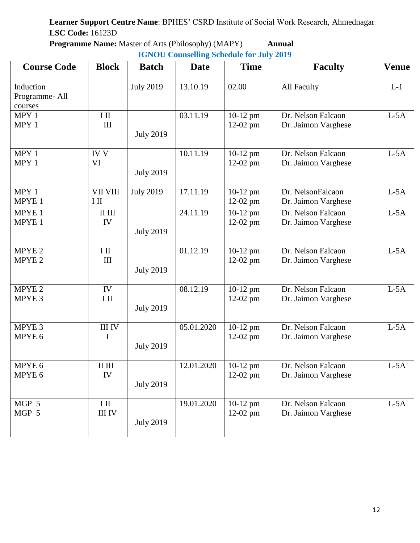| <b>Programme Name:</b> Master of Arts (Philosophy) (MAPY) | Annual |
|-----------------------------------------------------------|--------|
| <b>IGNOU Counselling Schedule for July 2019</b>           |        |

| <b>Course Code</b>                     | <b>Block</b>              | <b>Batch</b>     | <b>Date</b> | <b>Time</b>                      | <b>Faculty</b>                            | <b>Venue</b> |
|----------------------------------------|---------------------------|------------------|-------------|----------------------------------|-------------------------------------------|--------------|
| Induction<br>Programme-All<br>courses  |                           | <b>July 2019</b> | 13.10.19    | 02.00                            | All Faculty                               | $L-1$        |
| MPY 1<br>MPY 1                         | $I$ II<br>III             | <b>July 2019</b> | 03.11.19    | $10-12$ pm<br>$12-02$ pm         | Dr. Nelson Falcaon<br>Dr. Jaimon Varghese | $L-5A$       |
| MPY 1<br>MPY 1                         | <b>IV V</b><br>VI         | <b>July 2019</b> | 10.11.19    | $10-12$ pm<br>$12-02$ pm         | Dr. Nelson Falcaon<br>Dr. Jaimon Varghese | $L-5A$       |
| MPY 1<br>MPYE 1                        | <b>VII VIII</b><br>$I$ II | <b>July 2019</b> | 17.11.19    | $10-12$ pm<br>$12-02$ pm         | Dr. NelsonFalcaon<br>Dr. Jaimon Varghese  | $L-5A$       |
| MPYE 1<br>MPYE <sub>1</sub>            | $\rm II$ $\rm III$<br>IV  | <b>July 2019</b> | 24.11.19    | $10-12$ pm<br>12-02 pm           | Dr. Nelson Falcaon<br>Dr. Jaimon Varghese | $L-5A$       |
| MPYE <sub>2</sub><br>MPYE <sub>2</sub> | $I$ II<br>III             | <b>July 2019</b> | 01.12.19    | $10-12$ pm<br>$12-02$ pm         | Dr. Nelson Falcaon<br>Dr. Jaimon Varghese | $L-5A$       |
| MPYE <sub>2</sub><br>MPYE 3            | IV<br>$I$ II              | <b>July 2019</b> | 08.12.19    | 10-12 pm<br>$12-02$ pm           | Dr. Nelson Falcaon<br>Dr. Jaimon Varghese | $L-5A$       |
| MPYE 3<br>MPYE 6                       | <b>III IV</b><br>I        | <b>July 2019</b> | 05.01.2020  | $10-12$ pm<br>12-02 pm           | Dr. Nelson Falcaon<br>Dr. Jaimon Varghese | $L-5A$       |
| MPYE 6<br>MPYE 6                       | $\rm II$ $\rm III$<br>IV  | <b>July 2019</b> | 12.01.2020  | $10-12$ pm<br>$12-02 \text{ pm}$ | Dr. Nelson Falcaon<br>Dr. Jaimon Varghese | $L-5A$       |
| MGP 5<br>MGP 5                         | $I$ II<br><b>III IV</b>   | <b>July 2019</b> | 19.01.2020  | $10-12$ pm<br>$12-02$ pm         | Dr. Nelson Falcaon<br>Dr. Jaimon Varghese | $L-5A$       |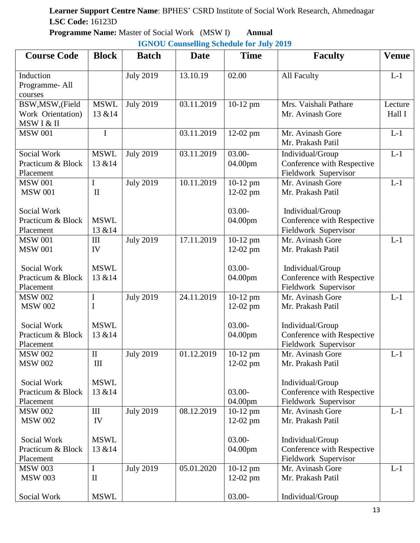**Programme Name:** Master of Social Work (MSW I) **Annual**

**IGNOU Counselling Schedule for July 2019**

| <b>Course Code</b>                                  | <b>Block</b>                | <b>Batch</b>     | <b>Date</b> | <b>Time</b>              | <b>Faculty</b>                                                         | <b>Venue</b>      |
|-----------------------------------------------------|-----------------------------|------------------|-------------|--------------------------|------------------------------------------------------------------------|-------------------|
| Induction<br>Programme-All<br>courses               |                             | <b>July 2019</b> | 13.10.19    | 02.00                    | <b>All Faculty</b>                                                     | $L-1$             |
| BSW, MSW, (Field<br>Work Orientation)<br>MSW I & II | <b>MSWL</b><br>13 & 14      | <b>July 2019</b> | 03.11.2019  | $10-12$ pm               | Mrs. Vaishali Pathare<br>Mr. Avinash Gore                              | Lecture<br>Hall I |
| <b>MSW 001</b>                                      | $\mathbf I$                 |                  | 03.11.2019  | 12-02 pm                 | Mr. Avinash Gore<br>Mr. Prakash Patil                                  | $L-1$             |
| Social Work<br>Practicum & Block<br>Placement       | <b>MSWL</b><br>13 & 14      | <b>July 2019</b> | 03.11.2019  | $03.00 -$<br>04.00pm     | Individual/Group<br>Conference with Respective<br>Fieldwork Supervisor | $L-1$             |
| <b>MSW 001</b><br><b>MSW 001</b>                    | $\mathbf I$<br>$\mathbf{I}$ | <b>July 2019</b> | 10.11.2019  | 10-12 pm<br>$12-02$ pm   | $\overline{Mr}$ . Avinash Gore<br>Mr. Prakash Patil                    | $L-1$             |
| Social Work<br>Practicum & Block<br>Placement       | <b>MSWL</b><br>13 & 14      |                  |             | $03.00 -$<br>04.00pm     | Individual/Group<br>Conference with Respective<br>Fieldwork Supervisor |                   |
| <b>MSW 001</b><br><b>MSW 001</b>                    | III<br>IV                   | <b>July 2019</b> | 17.11.2019  | 10-12 pm<br>$12-02$ pm   | Mr. Avinash Gore<br>Mr. Prakash Patil                                  | $L-1$             |
| Social Work<br>Practicum & Block<br>Placement       | <b>MSWL</b><br>13 & 14      |                  |             | $03.00 -$<br>04.00pm     | Individual/Group<br>Conference with Respective<br>Fieldwork Supervisor |                   |
| <b>MSW 002</b><br><b>MSW 002</b>                    | $\mathbf I$<br>$\mathbf I$  | <b>July 2019</b> | 24.11.2019  | $10-12$ pm<br>$12-02$ pm | Mr. Avinash Gore<br>Mr. Prakash Patil                                  | $L-1$             |
| Social Work<br>Practicum & Block<br>Placement       | <b>MSWL</b><br>13 & 14      |                  |             | $03.00 -$<br>04.00pm     | Individual/Group<br>Conference with Respective<br>Fieldwork Supervisor |                   |
| <b>MSW 002</b><br><b>MSW 002</b>                    | $\mathbf{I}$<br>III         | <b>July 2019</b> | 01.12.2019  | $10-12$ pm<br>12-02 pm   | Mr. Avinash Gore<br>Mr. Prakash Patil                                  | $L-1$             |
| Social Work<br>Practicum & Block<br>Placement       | <b>MSWL</b><br>13 & 14      |                  |             | $03.00 -$<br>04.00pm     | Individual/Group<br>Conference with Respective<br>Fieldwork Supervisor |                   |
| <b>MSW 002</b><br><b>MSW 002</b>                    | III<br>IV                   | <b>July 2019</b> | 08.12.2019  | $10-12$ pm<br>$12-02$ pm | Mr. Avinash Gore<br>Mr. Prakash Patil                                  | $L-1$             |
| Social Work<br>Practicum & Block<br>Placement       | <b>MSWL</b><br>13 & 14      |                  |             | $03.00 -$<br>04.00pm     | Individual/Group<br>Conference with Respective<br>Fieldwork Supervisor |                   |
| <b>MSW 003</b><br><b>MSW 003</b>                    | I<br>$\mathbf{I}$           | <b>July 2019</b> | 05.01.2020  | $10-12$ pm<br>$12-02$ pm | Mr. Avinash Gore<br>Mr. Prakash Patil                                  | $L-1$             |
| Social Work                                         | <b>MSWL</b>                 |                  |             | $03.00 -$                | Individual/Group                                                       |                   |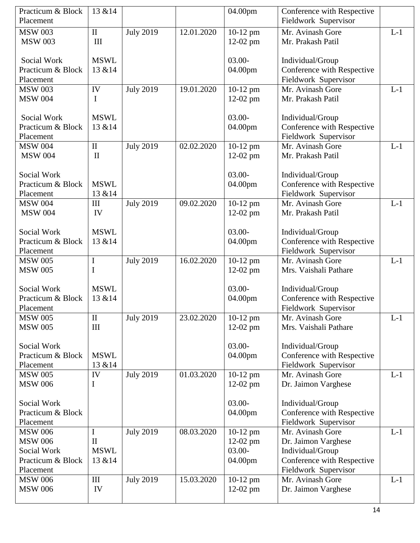| Practicum & Block           | 13 & 14      |                  |            | 04.00pm                | Conference with Respective               |       |
|-----------------------------|--------------|------------------|------------|------------------------|------------------------------------------|-------|
| Placement                   |              |                  |            |                        | Fieldwork Supervisor                     |       |
| <b>MSW 003</b>              | $\rm II$     | <b>July 2019</b> | 12.01.2020 | 10-12 pm               | Mr. Avinash Gore                         | $L-1$ |
| <b>MSW 003</b>              | III          |                  |            | $12-02$ pm             | Mr. Prakash Patil                        |       |
|                             |              |                  |            |                        |                                          |       |
| Social Work                 | <b>MSWL</b>  |                  |            | $03.00 -$              | Individual/Group                         |       |
| Practicum & Block           | 13 & 14      |                  |            | 04.00pm                | Conference with Respective               |       |
| Placement                   |              |                  |            |                        | Fieldwork Supervisor                     |       |
| <b>MSW 003</b>              | IV           | <b>July 2019</b> | 19.01.2020 | 10-12 pm               | Mr. Avinash Gore                         | $L-1$ |
| <b>MSW 004</b>              | Ι            |                  |            | 12-02 pm               | Mr. Prakash Patil                        |       |
|                             |              |                  |            |                        |                                          |       |
| Social Work                 | <b>MSWL</b>  |                  |            | $03.00 -$              | Individual/Group                         |       |
| Practicum & Block           | 13 & 14      |                  |            | 04.00pm                | Conference with Respective               |       |
| Placement                   |              |                  |            |                        | Fieldwork Supervisor                     |       |
| <b>MSW 004</b>              | $\mathbf{I}$ | <b>July 2019</b> | 02.02.2020 | 10-12 pm               | Mr. Avinash Gore                         | $L-1$ |
| <b>MSW 004</b>              | $\mathbf{I}$ |                  |            | $12-02$ pm             | Mr. Prakash Patil                        |       |
|                             |              |                  |            |                        |                                          |       |
| <b>Social Work</b>          |              |                  |            | $03.00 -$              | Individual/Group                         |       |
| Practicum & Block           | <b>MSWL</b>  |                  |            | 04.00pm                | Conference with Respective               |       |
| Placement                   | 13 & 14      |                  |            |                        | Fieldwork Supervisor                     |       |
| <b>MSW 004</b>              | III          | <b>July 2019</b> | 09.02.2020 | $\overline{10}$ -12 pm | Mr. Avinash Gore                         | $L-1$ |
| <b>MSW 004</b>              | IV           |                  |            | $12-02$ pm             | Mr. Prakash Patil                        |       |
|                             |              |                  |            |                        |                                          |       |
| <b>Social Work</b>          | <b>MSWL</b>  |                  |            | $03.00 -$              | Individual/Group                         |       |
| Practicum & Block           | 13 & 14      |                  |            | 04.00pm                | Conference with Respective               |       |
| Placement<br><b>MSW 005</b> |              |                  | 16.02.2020 |                        | Fieldwork Supervisor<br>Mr. Avinash Gore | $L-1$ |
| <b>MSW 005</b>              | I<br>I       | <b>July 2019</b> |            | 10-12 pm               | Mrs. Vaishali Pathare                    |       |
|                             |              |                  |            | $12-02$ pm             |                                          |       |
| <b>Social Work</b>          | <b>MSWL</b>  |                  |            | $03.00 -$              | Individual/Group                         |       |
| Practicum & Block           | 13 & 14      |                  |            | 04.00pm                | Conference with Respective               |       |
| Placement                   |              |                  |            |                        | Fieldwork Supervisor                     |       |
| <b>MSW 005</b>              | $\mathbf{I}$ | <b>July 2019</b> | 23.02.2020 | 10-12 pm               | Mr. Avinash Gore                         | $L-1$ |
| <b>MSW 005</b>              | III          |                  |            | $12-02$ pm             | Mrs. Vaishali Pathare                    |       |
|                             |              |                  |            |                        |                                          |       |
| Social Work                 |              |                  |            | $03.00 -$              | Individual/Group                         |       |
| Practicum & Block           | <b>MSWL</b>  |                  |            | 04.00pm                | Conference with Respective               |       |
| Placement                   | 13 & 14      |                  |            |                        | Fieldwork Supervisor                     |       |
| <b>MSW 005</b>              | IV           | <b>July 2019</b> | 01.03.2020 | 10-12 pm               | Mr. Avinash Gore                         | $L-1$ |
| <b>MSW 006</b>              | I            |                  |            | $12-02$ pm             | Dr. Jaimon Varghese                      |       |
|                             |              |                  |            |                        |                                          |       |
| Social Work                 |              |                  |            | $03.00 -$              | Individual/Group                         |       |
| Practicum & Block           |              |                  |            | 04.00pm                | Conference with Respective               |       |
| Placement                   |              |                  |            |                        | Fieldwork Supervisor                     |       |
| <b>MSW 006</b>              | I            | <b>July 2019</b> | 08.03.2020 | $10-12$ pm             | Mr. Avinash Gore                         | $L-1$ |
| <b>MSW 006</b>              | $\mathbf{I}$ |                  |            | $12-02$ pm             | Dr. Jaimon Varghese                      |       |
| Social Work                 | <b>MSWL</b>  |                  |            | $03.00 -$              | Individual/Group                         |       |
| Practicum & Block           |              |                  |            | 04.00pm                | Conference with Respective               |       |
| Placement                   | 13 & 14      |                  |            |                        |                                          |       |
|                             |              |                  |            |                        | Fieldwork Supervisor                     |       |
| <b>MSW 006</b>              | III          | <b>July 2019</b> | 15.03.2020 | $10-12$ pm             | Mr. Avinash Gore                         | $L-1$ |
| <b>MSW 006</b>              | IV           |                  |            | $12-02$ pm             | Dr. Jaimon Varghese                      |       |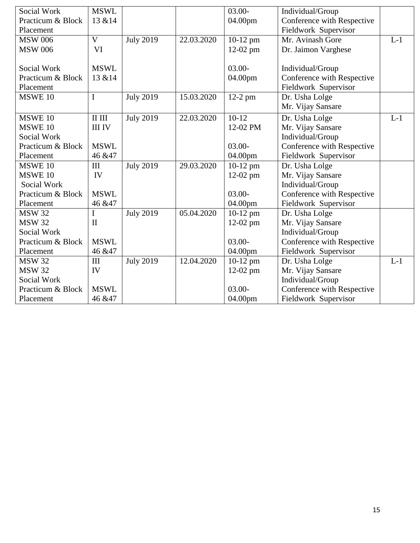| Social Work       | <b>MSWL</b>                                |                  |            | $03.00 -$              | Individual/Group           |       |
|-------------------|--------------------------------------------|------------------|------------|------------------------|----------------------------|-------|
| Practicum & Block | 13 & 14                                    |                  |            | 04.00pm                | Conference with Respective |       |
| Placement         |                                            |                  |            |                        | Fieldwork Supervisor       |       |
| <b>MSW 006</b>    | $\overline{\rm v}$                         | <b>July 2019</b> | 22.03.2020 | $\overline{10}$ -12 pm | Mr. Avinash Gore           | $L-1$ |
| <b>MSW 006</b>    | <b>VI</b>                                  |                  |            | $12-02$ pm             | Dr. Jaimon Varghese        |       |
|                   |                                            |                  |            |                        |                            |       |
| Social Work       | <b>MSWL</b>                                |                  |            | $03.00 -$              | Individual/Group           |       |
| Practicum & Block | 13 & 14                                    |                  |            | 04.00pm                | Conference with Respective |       |
| Placement         |                                            |                  |            |                        | Fieldwork Supervisor       |       |
| MSWE 10           | $\mathbf I$                                | <b>July 2019</b> | 15.03.2020 | $12-2$ pm              | Dr. Usha Lolge             |       |
|                   |                                            |                  |            |                        | Mr. Vijay Sansare          |       |
| MSWE 10           | $\scriptstyle\rm II$ $\scriptstyle\rm III$ | <b>July 2019</b> | 22.03.2020 | $10-12$                | Dr. Usha Lolge             | $L-1$ |
| MSWE 10           | <b>III IV</b>                              |                  |            | 12-02 PM               | Mr. Vijay Sansare          |       |
| Social Work       |                                            |                  |            |                        | Individual/Group           |       |
| Practicum & Block | <b>MSWL</b>                                |                  |            | $03.00 -$              | Conference with Respective |       |
| Placement         | 46 & 47                                    |                  |            | 04.00pm                | Fieldwork Supervisor       |       |
| MSWE 10           | III                                        | <b>July 2019</b> | 29.03.2020 | 10-12 pm               | Dr. Usha Lolge             |       |
| MSWE 10           | IV                                         |                  |            | $12-02$ pm             | Mr. Vijay Sansare          |       |
| Social Work       |                                            |                  |            |                        | Individual/Group           |       |
| Practicum & Block | <b>MSWL</b>                                |                  |            | $03.00 -$              | Conference with Respective |       |
| Placement         | 46 & 47                                    |                  |            | 04.00pm                | Fieldwork Supervisor       |       |
| <b>MSW 32</b>     | $\mathbf I$                                | <b>July 2019</b> | 05.04.2020 | $10-12$ pm             | Dr. Usha Lolge             |       |
| <b>MSW 32</b>     | $\mathbf{I}$                               |                  |            | $12-02$ pm             | Mr. Vijay Sansare          |       |
| Social Work       |                                            |                  |            |                        | Individual/Group           |       |
| Practicum & Block | <b>MSWL</b>                                |                  |            | $03.00 -$              | Conference with Respective |       |
| Placement         | 46 & 47                                    |                  |            | 04.00pm                | Fieldwork Supervisor       |       |
| <b>MSW 32</b>     | III                                        | <b>July 2019</b> | 12.04.2020 | $10-12$ pm             | Dr. Usha Lolge             | $L-1$ |
| <b>MSW 32</b>     | IV                                         |                  |            | 12-02 pm               | Mr. Vijay Sansare          |       |
| Social Work       |                                            |                  |            |                        | Individual/Group           |       |
| Practicum & Block | <b>MSWL</b>                                |                  |            | $03.00 -$              | Conference with Respective |       |
| Placement         | 46 & 47                                    |                  |            | 04.00pm                | Fieldwork Supervisor       |       |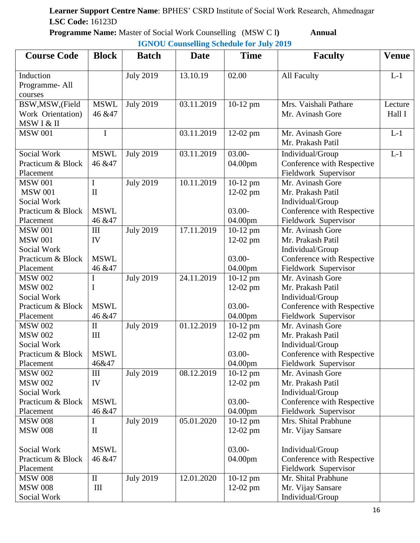**Programme Name:** Master of Social Work Counselling (MSW C I) **Annual** 

|                                                                      |                                  |                  | $101100$ countering beneaute for $\sigma a$ , $\sigma a$ |                                       |                                                                                         |                   |
|----------------------------------------------------------------------|----------------------------------|------------------|----------------------------------------------------------|---------------------------------------|-----------------------------------------------------------------------------------------|-------------------|
| <b>Course Code</b>                                                   | <b>Block</b>                     | <b>Batch</b>     | <b>Date</b>                                              | <b>Time</b>                           | <b>Faculty</b>                                                                          | <b>Venue</b>      |
| Induction<br>Programme-All<br>courses                                |                                  | <b>July 2019</b> | 13.10.19                                                 | 02.00                                 | All Faculty                                                                             | $L-1$             |
| BSW, MSW, (Field<br>Work Orientation)<br>MSW I & II                  | <b>MSWL</b><br>46 & 47           | <b>July 2019</b> | 03.11.2019                                               | $10-12$ pm                            | Mrs. Vaishali Pathare<br>Mr. Avinash Gore                                               | Lecture<br>Hall I |
| <b>MSW 001</b>                                                       | I                                |                  | 03.11.2019                                               | 12-02 pm                              | Mr. Avinash Gore<br>Mr. Prakash Patil                                                   | $L-1$             |
| Social Work<br>Practicum & Block<br>Placement                        | <b>MSWL</b><br>46 & 47           | <b>July 2019</b> | 03.11.2019                                               | $03.00 -$<br>04.00pm                  | Individual/Group<br>Conference with Respective<br>Fieldwork Supervisor                  | $L-1$             |
| <b>MSW 001</b><br><b>MSW 001</b><br>Social Work<br>Practicum & Block | I<br>$\mathbf{I}$<br><b>MSWL</b> | <b>July 2019</b> | 10.11.2019                                               | $10-12$ pm<br>$12-02$ pm<br>$03.00 -$ | Mr. Avinash Gore<br>Mr. Prakash Patil<br>Individual/Group<br>Conference with Respective |                   |
| Placement                                                            | 46 & 47                          |                  |                                                          | 04.00pm                               | Fieldwork Supervisor                                                                    |                   |
| <b>MSW 001</b><br><b>MSW 001</b><br>Social Work<br>Practicum & Block | III<br>IV<br><b>MSWL</b>         | <b>July 2019</b> | 17.11.2019                                               | $10-12$ pm<br>$12-02$ pm<br>$03.00 -$ | Mr. Avinash Gore<br>Mr. Prakash Patil<br>Individual/Group<br>Conference with Respective |                   |
| Placement<br><b>MSW 002</b>                                          | 46 & 47<br>I                     | <b>July 2019</b> | 24.11.2019                                               | 04.00pm<br>$10-12$ pm                 | Fieldwork Supervisor<br>Mr. Avinash Gore                                                |                   |
| <b>MSW 002</b><br>Social Work<br>Practicum & Block                   | I<br><b>MSWL</b>                 |                  |                                                          | $12-02$ pm<br>$03.00 -$               | Mr. Prakash Patil<br>Individual/Group<br>Conference with Respective                     |                   |
| Placement                                                            | 46 & 47                          |                  |                                                          | 04.00pm                               | Fieldwork Supervisor                                                                    |                   |
| <b>MSW 002</b><br><b>MSW 002</b><br>Social Work                      | $\rm II$<br>III                  | <b>July 2019</b> | 01.12.2019                                               | $10-12$ pm<br>$12-02$ pm              | Mr. Avinash Gore<br>Mr. Prakash Patil<br>Individual/Group                               |                   |
| Practicum & Block   MSWL<br>Placement                                | 46&47                            |                  |                                                          | $03.00 -$<br>04.00pm                  | Conference with Respective<br>Fieldwork Supervisor                                      |                   |
| <b>MSW 002</b><br><b>MSW 002</b><br>Social Work<br>Practicum & Block | III<br>IV<br><b>MSWL</b>         | <b>July 2019</b> | 08.12.2019                                               | $10-12$ pm<br>12-02 pm<br>$03.00 -$   | Mr. Avinash Gore<br>Mr. Prakash Patil<br>Individual/Group<br>Conference with Respective |                   |
| Placement<br><b>MSW 008</b>                                          | 46 & 47<br>I                     | <b>July 2019</b> | 05.01.2020                                               | 04.00pm<br>$10-12$ pm                 | Fieldwork Supervisor<br>Mrs. Shital Prabhune                                            |                   |
| <b>MSW 008</b>                                                       | $\mathbf{I}$                     |                  |                                                          | $12-02$ pm                            | Mr. Vijay Sansare                                                                       |                   |
| Social Work<br>Practicum & Block<br>Placement                        | <b>MSWL</b><br>46 & 47           |                  |                                                          | $03.00 -$<br>04.00pm                  | Individual/Group<br>Conference with Respective<br>Fieldwork Supervisor                  |                   |
| <b>MSW 008</b><br><b>MSW 008</b><br>Social Work                      | $\rm II$<br>$\rm III$            | <b>July 2019</b> | 12.01.2020                                               | $10-12$ pm<br>$12-02$ pm              | Mr. Shital Prabhune<br>Mr. Vijay Sansare<br>Individual/Group                            |                   |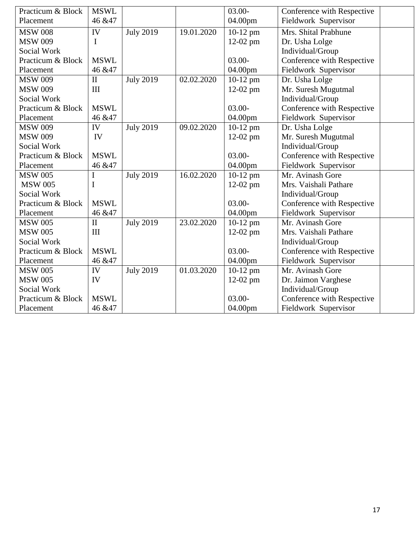| Practicum & Block | <b>MSWL</b>  |                  |            | $03.00 -$  | Conference with Respective |
|-------------------|--------------|------------------|------------|------------|----------------------------|
| Placement         | 46 & 47      |                  |            | 04.00pm    | Fieldwork Supervisor       |
| <b>MSW 008</b>    | IV           | <b>July 2019</b> | 19.01.2020 | $10-12$ pm | Mrs. Shital Prabhune       |
| <b>MSW 009</b>    | I            |                  |            | 12-02 pm   | Dr. Usha Lolge             |
| Social Work       |              |                  |            |            | Individual/Group           |
| Practicum & Block | <b>MSWL</b>  |                  |            | $03.00 -$  | Conference with Respective |
| Placement         | 46 & 47      |                  |            | 04.00pm    | Fieldwork Supervisor       |
| <b>MSW 009</b>    | $\mathbf{I}$ | <b>July 2019</b> | 02.02.2020 | 10-12 pm   | Dr. Usha Lolge             |
| <b>MSW 009</b>    | III          |                  |            | 12-02 pm   | Mr. Suresh Mugutmal        |
| Social Work       |              |                  |            |            | Individual/Group           |
| Practicum & Block | <b>MSWL</b>  |                  |            | $03.00 -$  | Conference with Respective |
| Placement         | 46 & 47      |                  |            | 04.00pm    | Fieldwork Supervisor       |
| <b>MSW 009</b>    | IV           | <b>July 2019</b> | 09.02.2020 | 10-12 pm   | Dr. Usha Lolge             |
| <b>MSW 009</b>    | IV           |                  |            | 12-02 pm   | Mr. Suresh Mugutmal        |
| Social Work       |              |                  |            |            | Individual/Group           |
| Practicum & Block | <b>MSWL</b>  |                  |            | $03.00 -$  | Conference with Respective |
| Placement         | 46 & 47      |                  |            | 04.00pm    | Fieldwork Supervisor       |
| <b>MSW 005</b>    | I            | <b>July 2019</b> | 16.02.2020 | $10-12$ pm | Mr. Avinash Gore           |
| <b>MSW 005</b>    | I            |                  |            | 12-02 pm   | Mrs. Vaishali Pathare      |
| Social Work       |              |                  |            |            | Individual/Group           |
| Practicum & Block | <b>MSWL</b>  |                  |            | $03.00 -$  | Conference with Respective |
| Placement         | 46 & 47      |                  |            | 04.00pm    | Fieldwork Supervisor       |
| <b>MSW 005</b>    | $\Pi$        | <b>July 2019</b> | 23.02.2020 | $10-12$ pm | Mr. Avinash Gore           |
| <b>MSW 005</b>    | III          |                  |            | 12-02 pm   | Mrs. Vaishali Pathare      |
| Social Work       |              |                  |            |            | Individual/Group           |
| Practicum & Block | <b>MSWL</b>  |                  |            | $03.00 -$  | Conference with Respective |
| Placement         | 46 & 47      |                  |            | 04.00pm    | Fieldwork Supervisor       |
| <b>MSW 005</b>    | IV           | <b>July 2019</b> | 01.03.2020 | 10-12 pm   | Mr. Avinash Gore           |
| <b>MSW 005</b>    | IV           |                  |            | 12-02 pm   | Dr. Jaimon Varghese        |
| Social Work       |              |                  |            |            | Individual/Group           |
| Practicum & Block | <b>MSWL</b>  |                  |            | $03.00 -$  | Conference with Respective |
| Placement         | 46 & 47      |                  |            | 04.00pm    | Fieldwork Supervisor       |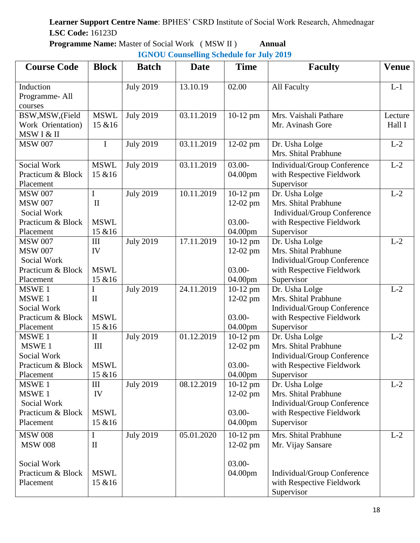**Programme Name:** Master of Social Work ( MSW II ) **Annual**

| <b>Course Code</b>             | <b>Block</b>           | <b>Batch</b>     | <b>Date</b> | <b>Time</b>            | <b>Faculty</b>                          | <b>Venue</b> |
|--------------------------------|------------------------|------------------|-------------|------------------------|-----------------------------------------|--------------|
| Induction                      |                        | <b>July 2019</b> | 13.10.19    | 02.00                  | All Faculty                             | $L-1$        |
| Programme-All                  |                        |                  |             |                        |                                         |              |
| courses                        |                        |                  |             |                        |                                         |              |
| BSW, MSW, (Field               | <b>MSWL</b>            | <b>July 2019</b> | 03.11.2019  | 10-12 pm               | Mrs. Vaishali Pathare                   | Lecture      |
| Work Orientation)              | 15 & 16                |                  |             |                        | Mr. Avinash Gore                        | Hall I       |
| MSW I & II                     |                        |                  |             |                        |                                         |              |
| <b>MSW 007</b>                 | $\mathbf I$            | <b>July 2019</b> | 03.11.2019  | 12-02 pm               | Dr. Usha Lolge                          | $L-2$        |
|                                |                        |                  |             |                        | Mrs. Shital Prabhune                    |              |
| Social Work                    | <b>MSWL</b>            | <b>July 2019</b> | 03.11.2019  | $03.00 -$              | Individual/Group Conference             | $L-2$        |
| Practicum & Block              | 15 & 16                |                  |             | 04.00pm                | with Respective Fieldwork               |              |
| Placement                      |                        |                  |             |                        | Supervisor                              |              |
| <b>MSW 007</b>                 | I                      | <b>July 2019</b> | 10.11.2019  | $\overline{10}$ -12 pm | Dr. Usha Lolge                          | $L-2$        |
| <b>MSW 007</b>                 | $\mathbf{I}$           |                  |             | 12-02 pm               | Mrs. Shital Prabhune                    |              |
| Social Work                    |                        |                  |             |                        | Individual/Group Conference             |              |
| Practicum & Block              | <b>MSWL</b>            |                  |             | $03.00 -$              | with Respective Fieldwork               |              |
| Placement                      | 15 & 16                |                  |             | 04.00pm                | Supervisor                              |              |
| <b>MSW 007</b>                 | III                    | <b>July 2019</b> | 17.11.2019  | 10-12 pm               | Dr. Usha Lolge                          | $L-2$        |
| <b>MSW 007</b>                 | IV                     |                  |             | $12-02$ pm             | Mrs. Shital Prabhune                    |              |
| Social Work                    |                        |                  |             |                        | Individual/Group Conference             |              |
| Practicum & Block<br>Placement | <b>MSWL</b><br>15 & 16 |                  |             | $03.00 -$              | with Respective Fieldwork<br>Supervisor |              |
| MSWE 1                         | I                      | <b>July 2019</b> | 24.11.2019  | 04.00pm<br>10-12 pm    | Dr. Usha Lolge                          | $L-2$        |
| MSWE 1                         | $\mathbf{I}$           |                  |             | $12-02$ pm             | Mrs. Shital Prabhune                    |              |
| <b>Social Work</b>             |                        |                  |             |                        | Individual/Group Conference             |              |
| Practicum & Block              | <b>MSWL</b>            |                  |             | $03.00 -$              | with Respective Fieldwork               |              |
| Placement                      | 15 & 16                |                  |             | 04.00pm                | Supervisor                              |              |
| MSWE 1                         | $\mathbf{I}$           | <b>July 2019</b> | 01.12.2019  | $10-12$ pm             | Dr. Usha Lolge                          | $L-2$        |
| MSWE 1                         | III                    |                  |             | $12-02$ pm             | Mrs. Shital Prabhune                    |              |
| Social Work                    |                        |                  |             |                        | Individual/Group Conference             |              |
| Practicum & Block              | <b>MSWL</b>            |                  |             | $03.00 -$              | with Respective Fieldwork               |              |
| Placement                      | 15 & 16                |                  |             | 04.00pm                | Supervisor                              |              |
| MSWE 1                         | III                    | <b>July 2019</b> | 08.12.2019  | $10-12$ pm             | Dr. Usha Lolge                          | $L-2$        |
| MSWE <sub>1</sub>              | IV                     |                  |             | $12-02$ pm             | Mrs. Shital Prabhune                    |              |
| Social Work                    |                        |                  |             |                        | Individual/Group Conference             |              |
| Practicum & Block              | <b>MSWL</b>            |                  |             | $03.00 -$              | with Respective Fieldwork               |              |
| Placement                      | 15 & 16                |                  |             | 04.00pm                | Supervisor                              |              |
| <b>MSW 008</b>                 | I                      | <b>July 2019</b> | 05.01.2020  | 10-12 pm               | Mrs. Shital Prabhune                    | $L-2$        |
| <b>MSW 008</b>                 | $\mathbf{I}$           |                  |             | $12-02$ pm             | Mr. Vijay Sansare                       |              |
|                                |                        |                  |             |                        |                                         |              |
| Social Work                    |                        |                  |             | $03.00 -$              |                                         |              |
| Practicum & Block              | <b>MSWL</b>            |                  |             | 04.00pm                | Individual/Group Conference             |              |
| Placement                      | 15 & 16                |                  |             |                        | with Respective Fieldwork               |              |
|                                |                        |                  |             |                        | Supervisor                              |              |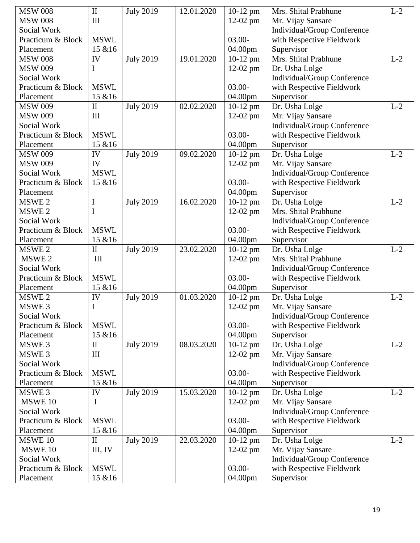| <b>MSW 008</b>     | $\mathbf{I}$ | <b>July 2019</b> | 12.01.2020              | $10-12$ pm | Mrs. Shital Prabhune        | $L-2$ |
|--------------------|--------------|------------------|-------------------------|------------|-----------------------------|-------|
| <b>MSW 008</b>     | III          |                  |                         | $12-02$ pm | Mr. Vijay Sansare           |       |
| Social Work        |              |                  |                         |            | Individual/Group Conference |       |
| Practicum & Block  | <b>MSWL</b>  |                  |                         | $03.00 -$  | with Respective Fieldwork   |       |
| Placement          | 15 & 16      |                  |                         | 04.00pm    | Supervisor                  |       |
| <b>MSW 008</b>     | IV           | <b>July 2019</b> | 19.01.2020              | $10-12$ pm | Mrs. Shital Prabhune        | $L-2$ |
| <b>MSW 009</b>     | I            |                  |                         | $12-02$ pm | Dr. Usha Lolge              |       |
| Social Work        |              |                  |                         |            | Individual/Group Conference |       |
| Practicum & Block  | <b>MSWL</b>  |                  |                         | $03.00 -$  | with Respective Fieldwork   |       |
| Placement          | 15 & 16      |                  |                         | 04.00pm    | Supervisor                  |       |
| <b>MSW 009</b>     | $\mathbf{I}$ | <b>July 2019</b> | 02.02.2020              | $10-12$ pm | Dr. Usha Lolge              | $L-2$ |
| <b>MSW 009</b>     | III          |                  |                         | 12-02 pm   | Mr. Vijay Sansare           |       |
| Social Work        |              |                  |                         |            | Individual/Group Conference |       |
| Practicum & Block  | <b>MSWL</b>  |                  |                         | 03.00-     | with Respective Fieldwork   |       |
| Placement          | 15 & 16      |                  |                         | 04.00pm    | Supervisor                  |       |
| <b>MSW 009</b>     | IV           | <b>July 2019</b> | 09.02.2020              | $10-12$ pm | Dr. Usha Lolge              | $L-2$ |
| <b>MSW 009</b>     | IV           |                  |                         | $12-02$ pm | Mr. Vijay Sansare           |       |
| Social Work        | <b>MSWL</b>  |                  |                         |            | Individual/Group Conference |       |
| Practicum & Block  | 15 & 16      |                  |                         | $03.00 -$  | with Respective Fieldwork   |       |
| Placement          |              |                  |                         | 04.00pm    | Supervisor                  |       |
| MSWE <sub>2</sub>  | I            | <b>July 2019</b> | 16.02.2020              | $10-12$ pm | Dr. Usha Lolge              | $L-2$ |
| MSWE <sub>2</sub>  | I            |                  |                         | $12-02$ pm | Mrs. Shital Prabhune        |       |
| Social Work        |              |                  |                         |            | Individual/Group Conference |       |
| Practicum & Block  | <b>MSWL</b>  |                  |                         | $03.00 -$  | with Respective Fieldwork   |       |
| Placement          | 15 & 16      |                  |                         | 04.00pm    | Supervisor                  |       |
| MSWE <sub>2</sub>  | $\mathbf{I}$ | <b>July 2019</b> | 23.02.2020              | $10-12$ pm | Dr. Usha Lolge              | $L-2$ |
| MSWE <sub>2</sub>  | III          |                  |                         | $12-02$ pm | Mrs. Shital Prabhune        |       |
| Social Work        |              |                  |                         |            | Individual/Group Conference |       |
| Practicum & Block  | <b>MSWL</b>  |                  |                         | $03.00 -$  | with Respective Fieldwork   |       |
| Placement          | 15 & 16      |                  |                         | 04.00pm    | Supervisor                  |       |
| MSWE <sub>2</sub>  | IV           | <b>July 2019</b> | $\overline{01.03.2020}$ | $10-12$ pm | Dr. Usha Lolge              | $L-2$ |
| MSWE <sub>3</sub>  | I            |                  |                         | 12-02 pm   | Mr. Vijay Sansare           |       |
| <b>Social Work</b> |              |                  |                         |            | Individual/Group Conference |       |
| Practicum & Block  | <b>MSWL</b>  |                  |                         | $03.00 -$  | with Respective Fieldwork   |       |
| Placement          | 15 & 16      |                  |                         | 04.00pm    | Supervisor                  |       |
| MSWE <sub>3</sub>  | $\mathbf{I}$ | <b>July 2019</b> | 08.03.2020              | $10-12$ pm | Dr. Usha Lolge              | $L-2$ |
| MSWE <sub>3</sub>  | III          |                  |                         | $12-02$ pm | Mr. Vijay Sansare           |       |
| Social Work        |              |                  |                         |            | Individual/Group Conference |       |
| Practicum & Block  | <b>MSWL</b>  |                  |                         | $03.00 -$  | with Respective Fieldwork   |       |
| Placement          | 15 & 16      |                  |                         | 04.00pm    | Supervisor                  |       |
| MSWE <sub>3</sub>  | IV           | <b>July 2019</b> | 15.03.2020              | $10-12$ pm | Dr. Usha Lolge              | $L-2$ |
| MSWE 10            | I            |                  |                         | $12-02$ pm | Mr. Vijay Sansare           |       |
| Social Work        |              |                  |                         |            | Individual/Group Conference |       |
| Practicum & Block  | <b>MSWL</b>  |                  |                         | 03.00-     | with Respective Fieldwork   |       |
| Placement          | 15 & 16      |                  |                         | 04.00pm    | Supervisor                  |       |
| <b>MSWE 10</b>     | $\mathbf{I}$ | <b>July 2019</b> | 22.03.2020              | $10-12$ pm | Dr. Usha Lolge              | $L-2$ |
| MSWE 10            | III, IV      |                  |                         |            | Mr. Vijay Sansare           |       |
| Social Work        |              |                  |                         | $12-02$ pm | Individual/Group Conference |       |
| Practicum & Block  | <b>MSWL</b>  |                  |                         | $03.00 -$  | with Respective Fieldwork   |       |
| Placement          | $15\;\&\!16$ |                  |                         |            | Supervisor                  |       |
|                    |              |                  |                         | 04.00pm    |                             |       |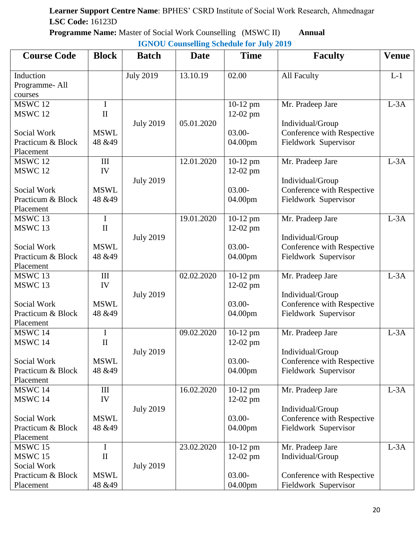**Programme Name:** Master of Social Work Counselling (MSWC II) **Annual IGNOU Counselling Schedule for July 2019**

| <b>Course Code</b>                              | <b>Block</b>                | <b>Batch</b>     | <b>Date</b> | <b>Time</b>              | <b>Faculty</b>                                     | <b>Venue</b> |
|-------------------------------------------------|-----------------------------|------------------|-------------|--------------------------|----------------------------------------------------|--------------|
| Induction<br>Programme-All<br>courses           |                             | <b>July 2019</b> | 13.10.19    | 02.00                    | All Faculty                                        | $L-1$        |
| MSWC 12<br>MSWC <sub>12</sub>                   | $\mathbf I$<br>$\mathbf{I}$ | <b>July 2019</b> | 05.01.2020  | 10-12 pm<br>$12-02$ pm   | Mr. Pradeep Jare<br>Individual/Group               | $L-3A$       |
| Social Work<br>Practicum & Block<br>Placement   | <b>MSWL</b><br>48 & 49      |                  |             | $03.00 -$<br>04.00pm     | Conference with Respective<br>Fieldwork Supervisor |              |
| MSWC 12<br>MSWC <sub>12</sub>                   | III<br>IV                   | <b>July 2019</b> | 12.01.2020  | 10-12 pm<br>$12-02$ pm   | Mr. Pradeep Jare<br>Individual/Group               | $L-3A$       |
| Social Work<br>Practicum & Block<br>Placement   | <b>MSWL</b><br>48 & 49      |                  |             | $03.00 -$<br>04.00pm     | Conference with Respective<br>Fieldwork Supervisor |              |
| MSWC 13<br>MSWC13                               | $\mathbf I$<br>$\mathbf{I}$ | <b>July 2019</b> | 19.01.2020  | 10-12 pm<br>$12-02$ pm   | Mr. Pradeep Jare<br>Individual/Group               | $L-3A$       |
| Social Work<br>Practicum & Block<br>Placement   | <b>MSWL</b><br>48 & 49      |                  |             | $03.00 -$<br>04.00pm     | Conference with Respective<br>Fieldwork Supervisor |              |
| MSWC 13<br>MSWC13                               | $\rm III$<br>IV             | <b>July 2019</b> | 02.02.2020  | 10-12 pm<br>$12-02$ pm   | Mr. Pradeep Jare<br>Individual/Group               | $L-3A$       |
| Social Work<br>Practicum & Block<br>Placement   | <b>MSWL</b><br>48 & 49      |                  |             | $03.00 -$<br>04.00pm     | Conference with Respective<br>Fieldwork Supervisor |              |
| MSWC 14<br>MSWC 14                              | $\bf{I}$<br>$\mathbf{I}$    | <b>July 2019</b> | 09.02.2020  | 10-12 pm<br>12-02 pm     | Mr. Pradeep Jare<br>Individual/Group               | $L-3A$       |
| Social Work<br>Practicum & Block<br>Placement   | <b>MSWL</b><br>48 & 49      |                  |             | $03.00 -$<br>04.00pm     | Conference with Respective<br>Fieldwork Supervisor |              |
| MSWC 14<br>MSWC 14                              | III<br>IV                   | <b>July 2019</b> | 16.02.2020  | $10-12$ pm<br>$12-02$ pm | Mr. Pradeep Jare<br>Individual/Group               | $L-3A$       |
| Social Work<br>Practicum & Block<br>Placement   | <b>MSWL</b><br>48 & 49      |                  |             | $03.00 -$<br>04.00pm     | Conference with Respective<br>Fieldwork Supervisor |              |
| <b>MSWC 15</b><br><b>MSWC 15</b><br>Social Work | $\bf{I}$<br>$\mathbf{I}$    | <b>July 2019</b> | 23.02.2020  | $10-12$ pm<br>$12-02$ pm | Mr. Pradeep Jare<br>Individual/Group               | $L-3A$       |
| Practicum & Block<br>Placement                  | <b>MSWL</b><br>48 & 49      |                  |             | $03.00 -$<br>04.00pm     | Conference with Respective<br>Fieldwork Supervisor |              |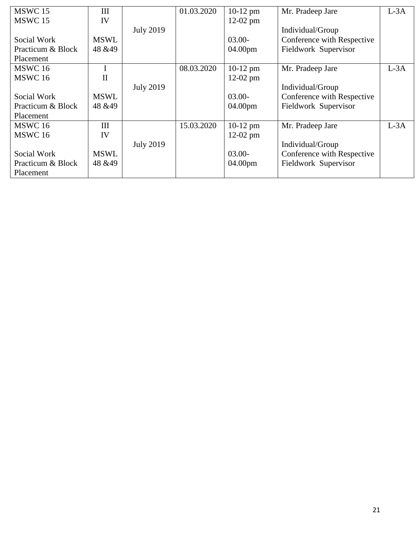| MSWC 15            | Ш            |                  | 01.03.2020 | $10-12$ pm | Mr. Pradeep Jare           | $L-3A$ |
|--------------------|--------------|------------------|------------|------------|----------------------------|--------|
| MSWC <sub>15</sub> | IV           |                  |            | $12-02$ pm |                            |        |
|                    |              | <b>July 2019</b> |            |            | Individual/Group           |        |
| Social Work        | <b>MSWL</b>  |                  |            | $03.00 -$  | Conference with Respective |        |
| Practicum & Block  | 48 & 49      |                  |            | 04.00pm    | Fieldwork Supervisor       |        |
| Placement          |              |                  |            |            |                            |        |
| <b>MSWC 16</b>     |              |                  | 08.03.2020 | $10-12$ pm | Mr. Pradeep Jare           | $L-3A$ |
| <b>MSWC 16</b>     | $\mathbf{I}$ |                  |            | $12-02$ pm |                            |        |
|                    |              | <b>July 2019</b> |            |            | Individual/Group           |        |
| Social Work        | <b>MSWL</b>  |                  |            | $03.00 -$  | Conference with Respective |        |
| Practicum & Block  | 48 & 49      |                  |            | 04.00pm    | Fieldwork Supervisor       |        |
| Placement          |              |                  |            |            |                            |        |
| MSWC 16            | Ш            |                  | 15.03.2020 | $10-12$ pm | Mr. Pradeep Jare           | $L-3A$ |
| MSWC <sub>16</sub> | IV           |                  |            | $12-02$ pm |                            |        |
|                    |              | <b>July 2019</b> |            |            | Individual/Group           |        |
| Social Work        | <b>MSWL</b>  |                  |            | $03.00 -$  | Conference with Respective |        |
| Practicum & Block  | 48 & 49      |                  |            | 04.00pm    | Fieldwork Supervisor       |        |
| Placement          |              |                  |            |            |                            |        |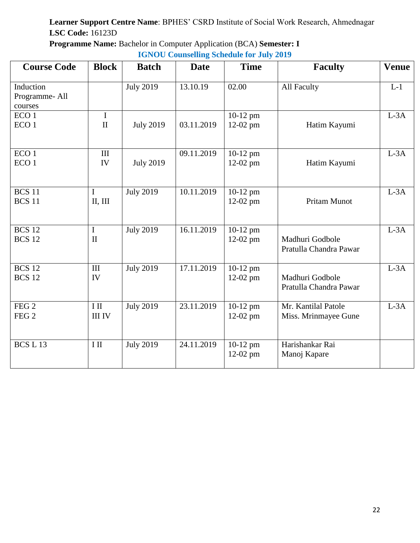**Programme Name:** Bachelor in Computer Application (BCA) **Semester: I** 

| <b>IGNOU Counselling Schedule for July 2019</b> |  |  |
|-------------------------------------------------|--|--|
|                                                 |  |  |

| <b>Course Code</b>                    | <b>Block</b>                | <b>Batch</b>     | <b>Date</b> | <b>Time</b>              | <b>Faculty</b>                              | <b>Venue</b> |
|---------------------------------------|-----------------------------|------------------|-------------|--------------------------|---------------------------------------------|--------------|
| Induction<br>Programme-All<br>courses |                             | <b>July 2019</b> | 13.10.19    | 02.00                    | All Faculty                                 | $L-1$        |
| ECO <sub>1</sub><br>ECO <sub>1</sub>  | $\mathbf I$<br>$\mathbf{I}$ | <b>July 2019</b> | 03.11.2019  | 10-12 pm<br>12-02 pm     | Hatim Kayumi                                | $L-3A$       |
| ECO <sub>1</sub><br>ECO <sub>1</sub>  | III<br>IV                   | <b>July 2019</b> | 09.11.2019  | 10-12 pm<br>12-02 pm     | Hatim Kayumi                                | $L-3A$       |
| <b>BCS 11</b><br><b>BCS 11</b>        | I<br>II, III                | <b>July 2019</b> | 10.11.2019  | $10-12$ pm<br>$12-02$ pm | Pritam Munot                                | $L-3A$       |
| <b>BCS 12</b><br><b>BCS 12</b>        | $\mathbf I$<br>$\mathbf{I}$ | <b>July 2019</b> | 16.11.2019  | 10-12 pm<br>12-02 pm     | Madhuri Godbole<br>Pratulla Chandra Pawar   | $L-3A$       |
| <b>BCS 12</b><br><b>BCS 12</b>        | III<br>IV                   | <b>July 2019</b> | 17.11.2019  | 10-12 pm<br>12-02 pm     | Madhuri Godbole<br>Pratulla Chandra Pawar   | $L-3A$       |
| FEG2<br>FEG <sub>2</sub>              | $\rm I~II$<br><b>III IV</b> | <b>July 2019</b> | 23.11.2019  | 10-12 pm<br>$12-02$ pm   | Mr. Kantilal Patole<br>Miss. Mrinmayee Gune | $L-3A$       |
| BCS L13                               | $I$ II                      | <b>July 2019</b> | 24.11.2019  | 10-12 pm<br>12-02 pm     | Harishankar Rai<br>Manoj Kapare             |              |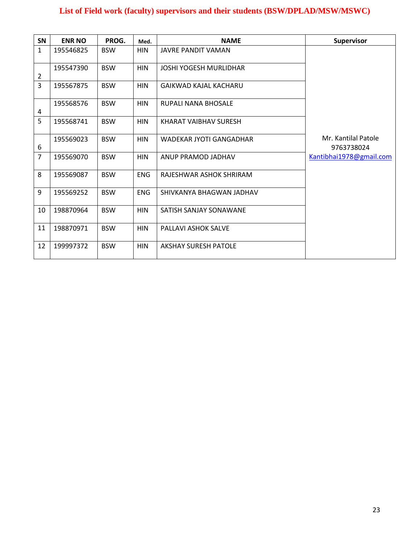#### **List of Field work (faculty) supervisors and their students (BSW/DPLAD/MSW/MSWC)**

| <b>SN</b>      | <b>ENR NO</b> | PROG.      | Med.       | <b>NAME</b>                   | <b>Supervisor</b>                 |
|----------------|---------------|------------|------------|-------------------------------|-----------------------------------|
| $\mathbf{1}$   | 195546825     | <b>BSW</b> | <b>HIN</b> | JAVRE PANDIT VAMAN            |                                   |
| $\overline{2}$ | 195547390     | <b>BSW</b> | <b>HIN</b> | <b>JOSHI YOGESH MURLIDHAR</b> |                                   |
| 3              | 195567875     | <b>BSW</b> | <b>HIN</b> | GAIKWAD KAJAL KACHARU         |                                   |
| 4              | 195568576     | <b>BSW</b> | <b>HIN</b> | RUPALI NANA BHOSALE           |                                   |
| 5              | 195568741     | <b>BSW</b> | <b>HIN</b> | KHARAT VAIBHAV SURESH         |                                   |
| 6              | 195569023     | <b>BSW</b> | <b>HIN</b> | WADEKAR JYOTI GANGADHAR       | Mr. Kantilal Patole<br>9763738024 |
| $\overline{7}$ | 195569070     | <b>BSW</b> | <b>HIN</b> | ANUP PRAMOD JADHAV            | Kantibhai1978@gmail.com           |
| 8              | 195569087     | <b>BSW</b> | <b>ENG</b> | RAJESHWAR ASHOK SHRIRAM       |                                   |
| 9              | 195569252     | <b>BSW</b> | <b>ENG</b> | SHIVKANYA BHAGWAN JADHAV      |                                   |
| 10             | 198870964     | <b>BSW</b> | <b>HIN</b> | SATISH SANJAY SONAWANE        |                                   |
| 11             | 198870971     | <b>BSW</b> | <b>HIN</b> | <b>PALLAVI ASHOK SALVE</b>    |                                   |
| 12             | 199997372     | <b>BSW</b> | <b>HIN</b> | <b>AKSHAY SURESH PATOLE</b>   |                                   |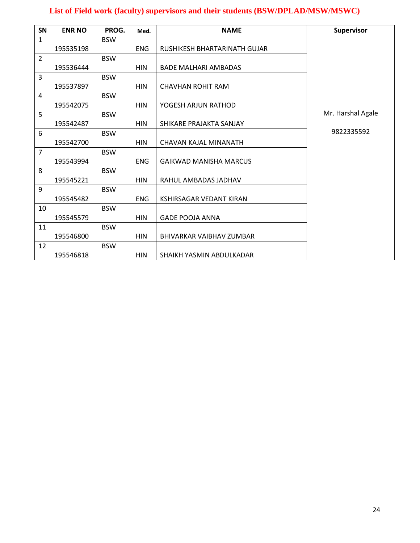#### **List of Field work (faculty) supervisors and their students (BSW/DPLAD/MSW/MSWC)**

| SN             | <b>ENR NO</b> | PROG.      | Med.       | <b>NAME</b>                    | <b>Supervisor</b> |
|----------------|---------------|------------|------------|--------------------------------|-------------------|
| $\mathbf{1}$   |               | <b>BSW</b> |            |                                |                   |
|                | 195535198     |            | <b>ENG</b> | RUSHIKESH BHARTARINATH GUJAR   |                   |
| $\overline{2}$ |               | <b>BSW</b> |            |                                |                   |
|                | 195536444     |            | <b>HIN</b> | <b>BADE MALHARI AMBADAS</b>    |                   |
| 3              |               | <b>BSW</b> |            |                                |                   |
|                | 195537897     |            | <b>HIN</b> | <b>CHAVHAN ROHIT RAM</b>       |                   |
| 4              |               | <b>BSW</b> |            |                                |                   |
|                | 195542075     |            | <b>HIN</b> | YOGESH ARJUN RATHOD            |                   |
| 5              |               | <b>BSW</b> |            |                                | Mr. Harshal Agale |
|                | 195542487     |            | <b>HIN</b> | SHIKARE PRAJAKTA SANJAY        |                   |
| 6              |               | <b>BSW</b> |            |                                | 9822335592        |
|                | 195542700     |            | <b>HIN</b> | CHAVAN KAJAL MINANATH          |                   |
| $\overline{7}$ |               | <b>BSW</b> |            |                                |                   |
|                | 195543994     |            | <b>ENG</b> | <b>GAIKWAD MANISHA MARCUS</b>  |                   |
| 8              |               | <b>BSW</b> |            |                                |                   |
|                | 195545221     |            | <b>HIN</b> | RAHUL AMBADAS JADHAV           |                   |
| 9              |               | <b>BSW</b> |            |                                |                   |
|                | 195545482     |            | <b>ENG</b> | <b>KSHIRSAGAR VEDANT KIRAN</b> |                   |
| 10             |               | <b>BSW</b> |            |                                |                   |
|                | 195545579     |            | <b>HIN</b> | <b>GADE POOJA ANNA</b>         |                   |
| 11             |               | <b>BSW</b> |            |                                |                   |
|                | 195546800     |            | <b>HIN</b> | BHIVARKAR VAIBHAV ZUMBAR       |                   |
| 12             |               | <b>BSW</b> |            |                                |                   |
|                | 195546818     |            | <b>HIN</b> | SHAIKH YASMIN ABDULKADAR       |                   |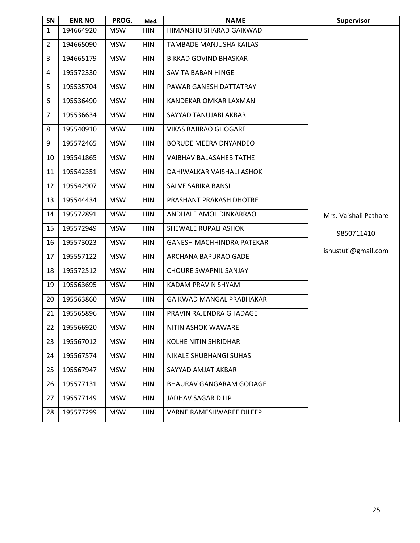| SN             | <b>ENR NO</b> | PROG.      | Med.       | <b>NAME</b>                      | <b>Supervisor</b>     |
|----------------|---------------|------------|------------|----------------------------------|-----------------------|
| $\mathbf{1}$   | 194664920     | <b>MSW</b> | <b>HIN</b> | HIMANSHU SHARAD GAIKWAD          |                       |
| $\overline{2}$ | 194665090     | <b>MSW</b> | <b>HIN</b> | TAMBADE MANJUSHA KAILAS          |                       |
| 3              | 194665179     | <b>MSW</b> | <b>HIN</b> | <b>BIKKAD GOVIND BHASKAR</b>     |                       |
| 4              | 195572330     | <b>MSW</b> | <b>HIN</b> | SAVITA BABAN HINGE               |                       |
| 5              | 195535704     | <b>MSW</b> | <b>HIN</b> | PAWAR GANESH DATTATRAY           |                       |
| 6              | 195536490     | <b>MSW</b> | <b>HIN</b> | KANDEKAR OMKAR LAXMAN            |                       |
| 7              | 195536634     | <b>MSW</b> | <b>HIN</b> | SAYYAD TANUJABI AKBAR            |                       |
| 8              | 195540910     | <b>MSW</b> | <b>HIN</b> | <b>VIKAS BAJIRAO GHOGARE</b>     |                       |
| 9              | 195572465     | <b>MSW</b> | <b>HIN</b> | <b>BORUDE MEERA DNYANDEO</b>     |                       |
| 10             | 195541865     | <b>MSW</b> | <b>HIN</b> | <b>VAIBHAV BALASAHEB TATHE</b>   |                       |
| 11             | 195542351     | <b>MSW</b> | <b>HIN</b> | DAHIWALKAR VAISHALI ASHOK        |                       |
| 12             | 195542907     | <b>MSW</b> | <b>HIN</b> | SALVE SARIKA BANSI               |                       |
| 13             | 195544434     | <b>MSW</b> | <b>HIN</b> | PRASHANT PRAKASH DHOTRE          |                       |
| 14             | 195572891     | <b>MSW</b> | <b>HIN</b> | ANDHALE AMOL DINKARRAO           | Mrs. Vaishali Pathare |
| 15             | 195572949     | <b>MSW</b> | <b>HIN</b> | SHEWALE RUPALI ASHOK             | 9850711410            |
| 16             | 195573023     | <b>MSW</b> | <b>HIN</b> | <b>GANESH MACHHINDRA PATEKAR</b> | ishustuti@gmail.com   |
| 17             | 195557122     | <b>MSW</b> | HIN        | ARCHANA BAPURAO GADE             |                       |
| 18             | 195572512     | <b>MSW</b> | <b>HIN</b> | <b>CHOURE SWAPNIL SANJAY</b>     |                       |
| 19             | 195563695     | <b>MSW</b> | <b>HIN</b> | KADAM PRAVIN SHYAM               |                       |
| 20             | 195563860     | <b>MSW</b> | <b>HIN</b> | GAIKWAD MANGAL PRABHAKAR         |                       |
| 21             | 195565896     | <b>MSW</b> | <b>HIN</b> | PRAVIN RAJENDRA GHADAGE          |                       |
| 22             | 195566920     | <b>MSW</b> | <b>HIN</b> | NITIN ASHOK WAWARE               |                       |
| 23             | 195567012     | <b>MSW</b> | <b>HIN</b> | <b>KOLHE NITIN SHRIDHAR</b>      |                       |
| 24             | 195567574     | <b>MSW</b> | <b>HIN</b> | NIKALE SHUBHANGI SUHAS           |                       |
| 25             | 195567947     | <b>MSW</b> | HIN        | SAYYAD AMJAT AKBAR               |                       |
| 26             | 195577131     | <b>MSW</b> | <b>HIN</b> | BHAURAV GANGARAM GODAGE          |                       |
| 27             | 195577149     | <b>MSW</b> | <b>HIN</b> | <b>JADHAV SAGAR DILIP</b>        |                       |
| 28             | 195577299     | <b>MSW</b> | <b>HIN</b> | VARNE RAMESHWAREE DILEEP         |                       |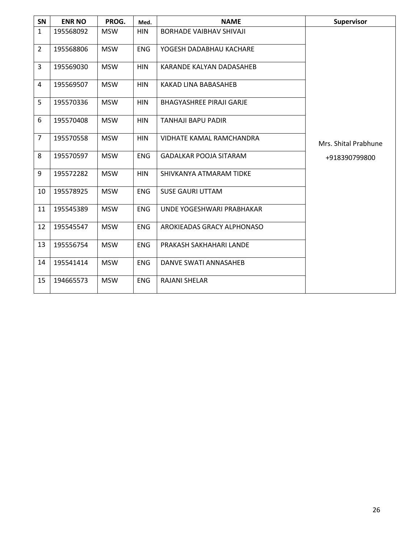| SN             | <b>ENR NO</b> | PROG.      | Med.       | <b>NAME</b>                     | <b>Supervisor</b>    |
|----------------|---------------|------------|------------|---------------------------------|----------------------|
| $\mathbf{1}$   | 195568092     | <b>MSW</b> | <b>HIN</b> | <b>BORHADE VAIBHAV SHIVAJI</b>  |                      |
| $\overline{2}$ | 195568806     | <b>MSW</b> | <b>ENG</b> | YOGESH DADABHAU KACHARE         |                      |
| 3              | 195569030     | <b>MSW</b> | <b>HIN</b> | KARANDE KALYAN DADASAHEB        |                      |
| 4              | 195569507     | <b>MSW</b> | <b>HIN</b> | KAKAD LINA BABASAHEB            |                      |
| 5              | 195570336     | <b>MSW</b> | <b>HIN</b> | <b>BHAGYASHREE PIRAJI GARJE</b> |                      |
| 6              | 195570408     | <b>MSW</b> | <b>HIN</b> | TANHAJI BAPU PADIR              |                      |
| $\overline{7}$ | 195570558     | <b>MSW</b> | <b>HIN</b> | VIDHATE KAMAL RAMCHANDRA        | Mrs. Shital Prabhune |
| 8              | 195570597     | <b>MSW</b> | <b>ENG</b> | <b>GADALKAR POOJA SITARAM</b>   | +918390799800        |
| 9              | 195572282     | <b>MSW</b> | <b>HIN</b> | SHIVKANYA ATMARAM TIDKE         |                      |
| 10             | 195578925     | <b>MSW</b> | <b>ENG</b> | <b>SUSE GAURI UTTAM</b>         |                      |
| 11             | 195545389     | <b>MSW</b> | <b>ENG</b> | UNDE YOGESHWARI PRABHAKAR       |                      |
| 12             | 195545547     | <b>MSW</b> | <b>ENG</b> | AROKIEADAS GRACY ALPHONASO      |                      |
| 13             | 195556754     | <b>MSW</b> | <b>ENG</b> | PRAKASH SAKHAHARI LANDE         |                      |
| 14             | 195541414     | <b>MSW</b> | <b>ENG</b> | DANVE SWATI ANNASAHEB           |                      |
| 15             | 194665573     | <b>MSW</b> | <b>ENG</b> | <b>RAJANI SHELAR</b>            |                      |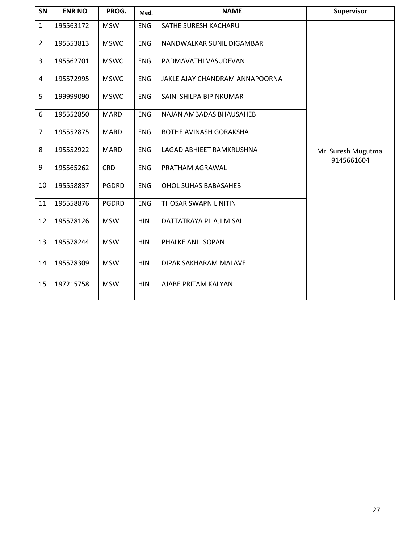| SN             | <b>ENR NO</b> | PROG.        | Med.       | <b>NAME</b>                    | <b>Supervisor</b>                 |
|----------------|---------------|--------------|------------|--------------------------------|-----------------------------------|
| $\mathbf{1}$   | 195563172     | <b>MSW</b>   | <b>ENG</b> | SATHE SURESH KACHARU           |                                   |
| $\overline{2}$ | 195553813     | <b>MSWC</b>  | <b>ENG</b> | NANDWALKAR SUNIL DIGAMBAR      |                                   |
| 3              | 195562701     | <b>MSWC</b>  | <b>ENG</b> | PADMAVATHI VASUDEVAN           |                                   |
| 4              | 195572995     | <b>MSWC</b>  | <b>ENG</b> | JAKLE AJAY CHANDRAM ANNAPOORNA |                                   |
| 5              | 199999090     | <b>MSWC</b>  | <b>ENG</b> | SAINI SHILPA BIPINKUMAR        |                                   |
| 6              | 195552850     | <b>MARD</b>  | <b>ENG</b> | NAJAN AMBADAS BHAUSAHEB        |                                   |
| $\overline{7}$ | 195552875     | <b>MARD</b>  | <b>ENG</b> | <b>BOTHE AVINASH GORAKSHA</b>  |                                   |
| 8              | 195552922     | <b>MARD</b>  | <b>ENG</b> | LAGAD ABHIEET RAMKRUSHNA       | Mr. Suresh Mugutmal<br>9145661604 |
| 9              | 195565262     | <b>CRD</b>   | <b>ENG</b> | PRATHAM AGRAWAL                |                                   |
| 10             | 195558837     | <b>PGDRD</b> | <b>ENG</b> | <b>OHOL SUHAS BABASAHEB</b>    |                                   |
| 11             | 195558876     | <b>PGDRD</b> | <b>ENG</b> | THOSAR SWAPNIL NITIN           |                                   |
| 12             | 195578126     | <b>MSW</b>   | <b>HIN</b> | DATTATRAYA PILAJI MISAL        |                                   |
| 13             | 195578244     | <b>MSW</b>   | <b>HIN</b> | PHALKE ANIL SOPAN              |                                   |
| 14             | 195578309     | <b>MSW</b>   | <b>HIN</b> | DIPAK SAKHARAM MALAVE          |                                   |
| 15             | 197215758     | <b>MSW</b>   | <b>HIN</b> | AJABE PRITAM KALYAN            |                                   |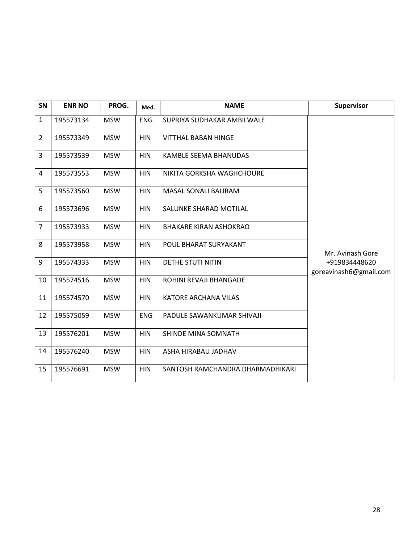| SN             | <b>ENR NO</b> | PROG.      | Med.       | <b>NAME</b>                      | Supervisor                              |
|----------------|---------------|------------|------------|----------------------------------|-----------------------------------------|
| $\mathbf{1}$   | 195573134     | <b>MSW</b> | ENG        | SUPRIYA SUDHAKAR AMBILWALE       |                                         |
| $\overline{2}$ | 195573349     | <b>MSW</b> | <b>HIN</b> | <b>VITTHAL BABAN HINGE</b>       |                                         |
| 3              | 195573539     | <b>MSW</b> | <b>HIN</b> | KAMBLE SEEMA BHANUDAS            |                                         |
| 4              | 195573553     | <b>MSW</b> | <b>HIN</b> | NIKITA GORKSHA WAGHCHOURE        |                                         |
| 5              | 195573560     | <b>MSW</b> | <b>HIN</b> | <b>MASAL SONALI BALIRAM</b>      |                                         |
| 6              | 195573696     | <b>MSW</b> | <b>HIN</b> | SALUNKE SHARAD MOTILAL           |                                         |
| $\overline{7}$ | 195573933     | <b>MSW</b> | <b>HIN</b> | <b>BHAKARE KIRAN ASHOKRAO</b>    |                                         |
| 8              | 195573958     | <b>MSW</b> | <b>HIN</b> | POUL BHARAT SURYAKANT            | Mr. Avinash Gore                        |
| 9              | 195574333     | <b>MSW</b> | <b>HIN</b> | DETHE STUTI NITIN                | +919834448620<br>goreavinash6@gmail.com |
| 10             | 195574516     | <b>MSW</b> | <b>HIN</b> | ROHINI REVAJI BHANGADE           |                                         |
| 11             | 195574570     | <b>MSW</b> | <b>HIN</b> | KATORE ARCHANA VILAS             |                                         |
| 12             | 195575059     | <b>MSW</b> | <b>ENG</b> | PADULE SAWANKUMAR SHIVAJI        |                                         |
| 13             | 195576201     | <b>MSW</b> | <b>HIN</b> | SHINDE MINA SOMNATH              |                                         |
| 14             | 195576240     | <b>MSW</b> | <b>HIN</b> | ASHA HIRABAU JADHAV              |                                         |
| 15             | 195576691     | <b>MSW</b> | <b>HIN</b> | SANTOSH RAMCHANDRA DHARMADHIKARI |                                         |